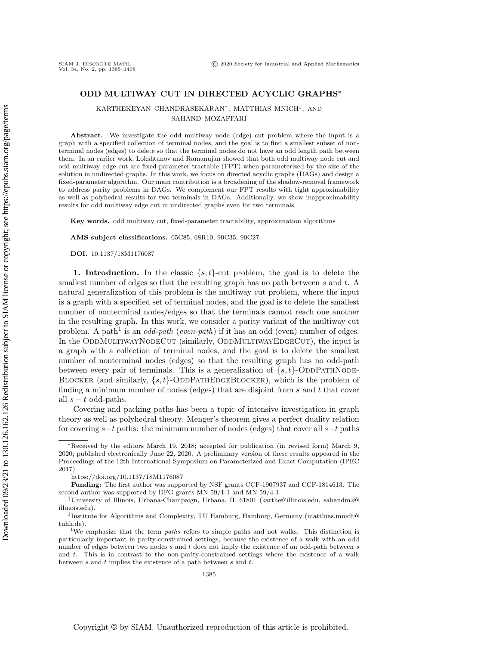## ODD MULTIWAY CUT IN DIRECTED ACYCLIC GRAPHS\*

KARTHEKEYAN CHANDRASEKARAN<sup>†</sup>, MATTHIAS MNICH<sup>‡</sup>, AND SAHAND MOZAFFARI<sup>t</sup>

Abstract. We investigate the odd multiway node (edge) cut problem where the input is a graph with a specified collection of terminal nodes, and the goal is to find a smallest subset of nonterminal nodes (edges) to delete so that the terminal nodes do not have an odd length path between them. In an earlier work, Lokshtanov and Ramanujan showed that both odd multiway node cut and odd multiway edge cut are fixed-parameter tractable (FPT) when parameterized by the size of the solution in undirected graphs. In this work, we focus on directed acyclic graphs (DAGs) and design a fixed-parameter algorithm. Our main contribution is a broadening of the shadow-removal framework to address parity problems in DAGs. We complement our FPT results with tight approximability as well as polyhedral results for two terminals in DAGs. Additionally, we show inapproximability results for odd multiway edge cut in undirected graphs even for two terminals.

Key words. odd multiway cut, fixed-parameter tractability, approximation algorithms

AMS subject classifications. 05C85, 68R10, 90C35, 90C27

DOI. 10.1137/18M1176087

<span id="page-0-1"></span>1. Introduction. In the classic  $\{ s, t\}$ -cut problem, the goal is to delete the smallest number of edges so that the resulting graph has no path between  $s$  and  $t$ . A natural generalization of this problem is the multiway cut problem, where the input is a graph with a specified set of terminal nodes, and the goal is to delete the smallest number of nonterminal nodes/edges so that the terminals cannot reach one another in the resulting graph. In this work, we consider a parity variant of the multiway cut problem. A path<sup>[1](#page-0-0)</sup> is an *odd-path* (*even-path*) if it has an odd (even) number of edges. In the ODDMULTIWAYNODECUT (similarly, ODDMULTIWAYEDGECUT), the input is a graph with a collection of terminal nodes, and the goal is to delete the smallest number of nonterminal nodes (edges) so that the resulting graph has no odd-path between every pair of terminals. This is a generalization of  $\{ s, t\}$ -ODDPATHNODE-BLOCKER (and similarly,  $\{s, t\}$ -ODDPATHEDGEBLOCKER), which is the problem of finding a minimum number of nodes (edges) that are disjoint from  $s$  and  $t$  that cover all  $s - t$  odd-paths.

Covering and packing paths has been a topic of intensive investigation in graph theory as well as polyhedral theory. Menger's theorem gives a perfect duality relation for covering  $s-t$  paths: the minimum number of nodes (edges) that cover all  $s-t$  paths

<sup>\*</sup>Received by the editors March 19, 2018; accepted for publication (in revised form) March 9, 2020; published electronically June 22, 2020. A preliminary version of these results appeared in the Proceedings of the 12th International Symposium on Parameterized and Exact Computation (IPEC 2017).

<https://doi.org/10.1137/18M1176087>

Funding: The first author was supported by NSF grants CCF-1907937 and CCF-1814613. The second author was supported by DFG grants MN 59/1-1 and MN 59/4-1.

<sup>&</sup>lt;sup>†</sup>University of Illinois, Urbana-Champaign, Urbana, IL 61801 [\(karthe@illinois.edu,](mailto:karthe@illinois.edu) [sahandm2@](mailto:sahandm2@illinois.edu) [illinois.edu\)](mailto:sahandm2@illinois.edu).

 $\ddagger$ Institute for Algorithms and Complexity, TU Hamburg, Hamburg, Germany [\(matthias.mnich@](mailto:matthias.mnich@tuhh.de) [tuhh.de\)](mailto:matthias.mnich@tuhh.de).

<span id="page-0-0"></span><sup>&</sup>lt;sup>1</sup>We emphasize that the term *paths* refers to simple paths and not walks. This distinction is particularly important in parity-constrained settings, because the existence of a walk with an odd number of edges between two nodes s and t does not imply the existence of an odd-path between s and t. This is in contrast to the non-parity-constrained settings where the existence of a walk between s and t implies the existence of a path between s and t.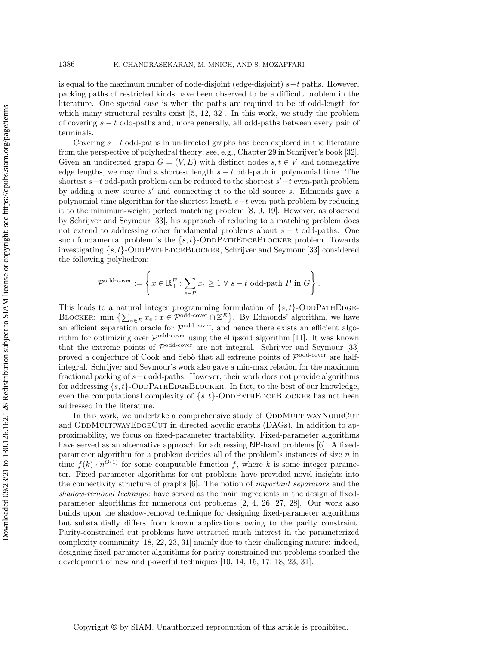is equal to the maximum number of node-disjoint (edge-disjoint)  $s-t$  paths. However, packing paths of restricted kinds have been observed to be a difficult problem in the literature. One special case is when the paths are required to be of odd-length for which many structural results exist [\[5,](#page-22-0) [12,](#page-22-1) [32\]](#page-23-0). In this work, we study the problem of covering  $s - t$  odd-paths and, more generally, all odd-paths between every pair of terminals.

Covering  $s - t$  odd-paths in undirected graphs has been explored in the literature from the perspective of polyhedral theory; see, e.g., Chapter 29 in Schrijver's book [\[32\]](#page-23-0). Given an undirected graph  $G = (V, E)$  with distinct nodes  $s, t \in V$  and nonnegative edge lengths, we may find a shortest length  $s - t$  odd-path in polynomial time. The shortest  $s-t$  odd-path problem can be reduced to the shortest  $s'-t$  even-path problem by adding a new source  $s'$  and connecting it to the old source s. Edmonds gave a polynomial-time algorithm for the shortest length  $s-t$  even-path problem by reducing it to the minimum-weight perfect matching problem [\[8,](#page-22-2) [9,](#page-22-3) [19\]](#page-22-4). However, as observed by Schrijver and Seymour [\[33\]](#page-23-1), his approach of reducing to a matching problem does not extend to addressing other fundamental problems about  $s - t$  odd-paths. One such fundamental problem is the  $\{ s, t\}$ -ODDPATHEDGEBLOCKER problem. Towards investigating  $\{ s, t \}$ -ODDPATHEDGEBLOCKER, Schrijver and Seymour [\[33\]](#page-23-1) considered the following polyhedron:

$$
\mathcal{P}^{\text{odd-cover}} := \left\{ x \in \mathbb{R}_+^E : \sum_{e \in P} x_e \ge 1 \ \forall \ s - t \text{ odd-path } P \text{ in } G \right\}.
$$

This leads to a natural integer programming formulation of  $\{ s, t\}$ -ODDPATHEDGE-BLOCKER: min  $\{\sum_{e\in E} x_e : x \in \mathcal{P}^{\text{odd-cover}} \cap \mathbb{Z}^E\}$ . By Edmonds' algorithm, we have an efficient separation oracle for  $\mathcal{P}^{\text{odd-cover}}$ , and hence there exists an efficient algorithm for optimizing over  $\mathcal{P}^{\text{odd-cover}}$  using the ellipsoid algorithm [\[11\]](#page-22-5). It was known that the extreme points of  $\mathcal{P}^{\text{odd-cover}}$  are not integral. Schrijver and Seymour [\[33\]](#page-23-1) proved a conjecture of Cook and Seb $\ddot{o}$  that all extreme points of  $\mathcal{P}^{\text{odd-cover}}$  are halfintegral. Schrijver and Seymour's work also gave a min-max relation for the maximum fractional packing of  $s - t$  odd-paths. However, their work does not provide algorithms for addressing  $\{s, t\}$ -ODDPATHEDGEBLOCKER. In fact, to the best of our knowledge, even the computational complexity of  $\{s, t\}$ -ODDPATHEDGEBLOCKER has not been addressed in the literature.

In this work, we undertake a comprehensive study of ODDMULTIWAYNODECUT and ODDMULTIWAYEDGECUT in directed acyclic graphs (DAGs). In addition to approximability, we focus on fixed-parameter tractability. Fixed-parameter algorithms have served as an alternative approach for addressing  $\mathsf{NP}\text{-}\mathsf{hard}$  problems [\[6\]](#page-22-6). A fixedparameter algorithm for a problem decides all of the problem's instances of size  $n$  in time  $f(k) \cdot n^{O(1)}$  for some computable function f, where k is some integer parameter. Fixed-parameter algorithms for cut problems have provided novel insights into the connectivity structure of graphs [\[6\]](#page-22-6). The notion of important separators and the shadow-removal technique have served as the main ingredients in the design of fixedparameter algorithms for numerous cut problems [\[2,](#page-22-7) [4,](#page-22-8) [26,](#page-23-2) [27,](#page-23-3) [28\]](#page-23-4). Our work also builds upon the shadow-removal technique for designing fixed-parameter algorithms but substantially differs from known applications owing to the parity constraint. Parity-constrained cut problems have attracted much interest in the parameterized complexity community [\[18,](#page-22-9) [22,](#page-22-10) [23,](#page-22-11) [31\]](#page-23-5) mainly due to their challenging nature: indeed, designing fixed-parameter algorithms for parity-constrained cut problems sparked the development of new and powerful techniques [\[10,](#page-22-12) [14,](#page-22-13) [15,](#page-22-14) [17,](#page-22-15) [18,](#page-22-9) [23,](#page-22-11) [31\]](#page-23-5).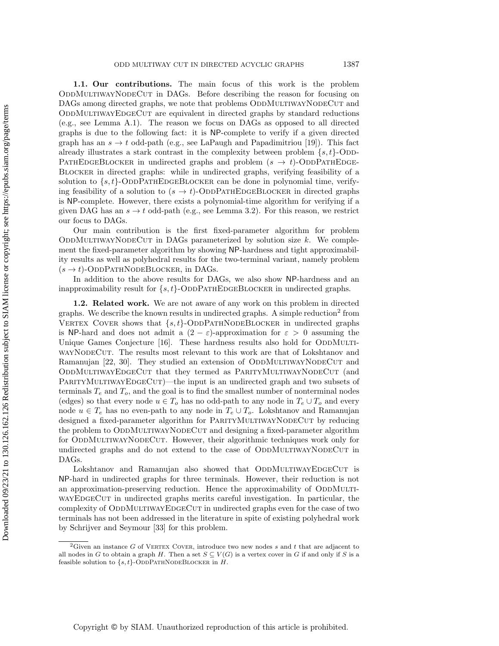1.1. Our contributions. The main focus of this work is the problem ODDMULTIWAYNODECUT in DAGs. Before describing the reason for focusing on DAGs among directed graphs, we note that problems ODDMULTIWAYNODECUT and ODDMULTIWAYEDGECUT are equivalent in directed graphs by standard reductions (e.g., see Lemma [A.1\)](#page-20-0). The reason we focus on DAGs as opposed to all directed graphs is due to the following fact: it is  $\text{NP-complete}$  to verify if a given directed graph has an  $s \rightarrow t$  odd-path (e.g., see LaPaugh and Papadimitriou [\[19\]](#page-22-4)). This fact already illustrates a stark contrast in the complexity between problem  $\{ s, t\}$ -ODD-PATHEDGEBLOCKER in undirected graphs and problem ( $s \rightarrow t$ )-ODDPATHEDGE-Blocker in directed graphs: while in undirected graphs, verifying feasibility of a solution to  $\{ s, t \}$ -ODDPATHEDGEBLOCKER can be done in polynomial time, verifying feasibility of a solution to  $(s \rightarrow t)$ -ODDPATHEDGEBLOCKER in directed graphs is  $\text{NP-complete.}$  However, there exists a polynomial-time algorithm for verifying if a given DAG has an  $s \rightarrow t$  odd-path (e.g., see Lemma [3.2\)](#page-14-0). For this reason, we restrict our focus to DAGs.

Our main contribution is the first fixed-parameter algorithm for problem ODDMULTIWAYNODECUT in DAGs parameterized by solution size  $k$ . We complement the fixed-parameter algorithm by showing NP-hardness and tight approximability results as well as polyhedral results for the two-terminal variant, namely problem  $(s \rightarrow t)$ -OddPathNodeBlocker, in DAGs.

In addition to the above results for DAGs, we also show NP-hardness and an inapproximability result for  $\{ s, t \}$ -ODDPATHEDGEBLOCKER in undirected graphs.

<span id="page-2-1"></span>1.2. Related work. We are not aware of any work on this problem in directed graphs. We describe the known results in undirected graphs. A simple reduction<sup>[2](#page-2-0)</sup> from VERTEX COVER shows that  $\{s, t\}$ -ODDPATHNODEBLOCKER in undirected graphs is NP-hard and does not admit a  $(2 - \varepsilon)$ -approximation for  $\varepsilon > 0$  assuming the Unique Games Conjecture [\[16\]](#page-22-16). These hardness results also hold for ODDMULTIwayNodeCut. The results most relevant to this work are that of Lokshtanov and Ramanujan [\[22,](#page-22-10) [30\]](#page-23-6). They studied an extension of ODDMULTIWAYNODECUT and ODDMULTIWAYEDGECUT that they termed as PARITYMULTIWAYNODECUT (and PARITYMULTIWAYEDGECUT)—the input is an undirected graph and two subsets of terminals  $T_e$  and  $T_o$ , and the goal is to find the smallest number of nonterminal nodes (edges) so that every node  $u \in T_o$  has no odd-path to any node in  $T_e \cup T_o$  and every node  $u \in T_e$  has no even-path to any node in  $T_e \cup T_o$ . Lokshtanov and Ramanujan designed a fixed-parameter algorithm for PARITYMULTIWAYNODECUT by reducing the problem to ODDMULTIWAYNODECUT and designing a fixed-parameter algorithm for ODDMULTIWAYNODECUT. However, their algorithmic techniques work only for undirected graphs and do not extend to the case of ODDMULTIWAYNODECUT in DAGs.

Lokshtanov and Ramanujan also showed that ODDMULTIWAYEDGECUT is  $\textsf{NP}$ -hard in undirected graphs for three terminals. However, their reduction is not an approximation-preserving reduction. Hence the approximability of ODDMULTIwayEDGECUT in undirected graphs merits careful investigation. In particular, the complexity of ODDMULTIWAYEDGECUT in undirected graphs even for the case of two terminals has not been addressed in the literature in spite of existing polyhedral work by Schrijver and Seymour [\[33\]](#page-23-1) for this problem.

Copyright © by SIAM. Unauthorized reproduction of this article is prohibited.

<span id="page-2-0"></span><sup>&</sup>lt;sup>2</sup>Given an instance G of VERTEX COVER, introduce two new nodes s and t that are adjacent to all nodes in G to obtain a graph H. Then a set  $S \subseteq V (G)$  is a vertex cover in G if and only if S is a feasible solution to  $\{s, t\}$ -ODDPATHNODEBLOCKER in H.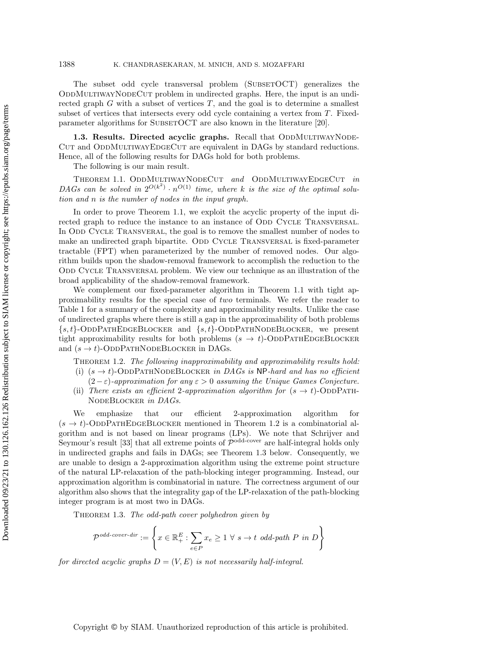### 1388 K. CHANDRASEKARAN, M. MNICH, AND S. MOZAFFARI

The subset odd cycle transversal problem (SUBSETOCT) generalizes the ODDMULTIWAYNODECUT problem in undirected graphs. Here, the input is an undirected graph  $G$  with a subset of vertices  $T$ , and the goal is to determine a smallest subset of vertices that intersects every odd cycle containing a vertex from T. Fixed-parameter algorithms for SUBSETOCT are also known in the literature [\[20\]](#page-22-17).

1.3. Results. Directed acyclic graphs. Recall that ODDMULTIWAYNODE-CUT and ODDMULTIWAYEDGECUT are equivalent in DAGs by standard reductions. Hence, all of the following results for DAGs hold for both problems.

<span id="page-3-0"></span>The following is our main result.

THEOREM 1.1. ODDMULTIWAYNODECUT and ODDMULTIWAYEDGECUT in DAGs can be solved in  $2^{O(k^2)} \cdot n^{O(1)}$  time, where k is the size of the optimal solution and n is the number of nodes in the input graph.

In order to prove Theorem [1.1,](#page-3-0) we exploit the acyclic property of the input directed graph to reduce the instance to an instance of ODD CYCLE TRANSVERSAL. In ODD CYCLE TRANSVERAL, the goal is to remove the smallest number of nodes to make an undirected graph bipartite. ODD CYCLE TRANSVERSAL is fixed-parameter tractable (FPT) when parameterized by the number of removed nodes. Our algorithm builds upon the shadow-removal framework to accomplish the reduction to the ODD CYCLE TRANSVERSAL problem. We view our technique as an illustration of the broad applicability of the shadow-removal framework.

We complement our fixed-parameter algorithm in Theorem [1.1](#page-3-0) with tight approximability results for the special case of two terminals. We refer the reader to Table [1](#page-4-0) for a summary of the complexity and approximability results. Unlike the case of undirected graphs where there is still a gap in the approximability of both problems  $\{s, t\}$ -ODDPATHEDGEBLOCKER and  $\{s, t\}$ -ODDPATHNODEBLOCKER, we present tight approximability results for both problems  $(s \rightarrow t)$ -ODDPATHEDGEBLOCKER and  $(s \rightarrow t)$ -ODDPATHNODEBLOCKER in DAGs.

Theorem 1.2. The following inapproximability and approximability results hold:

- <span id="page-3-1"></span>(i)  $(s \rightarrow t)$ -ODDPATHNODEBLOCKER in DAGs is NP-hard and has no efficient  $(2 - \varepsilon)$ -approximation for any  $\varepsilon > 0$  assuming the Unique Games Conjecture.
- (ii) There exists an efficient 2-approximation algorithm for  $(s \rightarrow t)$ -ODDPATH-NodeBlocker in DAGs.

We emphasize that our efficient 2-approximation algorithm for  $(s \rightarrow t)$ -ODDPATHEDGEBLOCKER mentioned in Theorem [1.2](#page-3-1) is a combinatorial algorithm and is not based on linear programs (LPs). We note that Schrijver and Seymour's result [\[33\]](#page-23-1) that all extreme points of  $\mathcal{P}^{\text{odd-cover}}$  are half-integral holds only in undirected graphs and fails in DAGs; see Theorem [1.3](#page-3-2) below. Consequently, we are unable to design a 2-approximation algorithm using the extreme point structure of the natural LP-relaxation of the path-blocking integer programming. Instead, our approximation algorithm is combinatorial in nature. The correctness argument of our algorithm also shows that the integrality gap of the LP-relaxation of the path-blocking integer program is at most two in DAGs.

<span id="page-3-2"></span>THEOREM 1.3. The odd-path cover polyhedron given by

$$
\mathcal{P}^{odd\text{-}cover\text{-}dir} := \left\{ x \in \mathbb{R}_+^E : \sum_{e \in P} x_e \ge 1 \ \forall \ s \to t \ odd\text{-}path \ P \ in \ D \right\}
$$

for directed acyclic graphs  $D = (V, E)$  is not necessarily half-integral.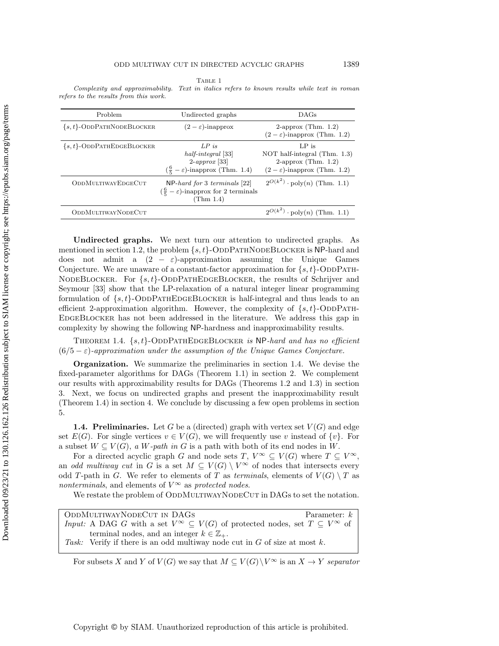Table 1

<span id="page-4-0"></span>Complexity and approximability. Text in italics refers to known results while text in roman refers to the results from this work.

| Problem                       | Undirected graphs                                                                                                  | DAGs                                                                                                          |  |  |
|-------------------------------|--------------------------------------------------------------------------------------------------------------------|---------------------------------------------------------------------------------------------------------------|--|--|
| $\{s,t\}$ -ODDPATHNODEBLOCKER | $(2 - \varepsilon)$ -inapprox                                                                                      | 2-approx (Thm. $1.2$ )<br>$(2 - \varepsilon)$ -inapprox (Thm. 1.2)                                            |  |  |
| $\{s,t\}$ -ODDPATHEDGEBLOCKER | $LP$ is<br>half-integral [33]<br>$2\text{-}approx~[33]$<br>$(\frac{6}{5}-\varepsilon)$ -inapprox (Thm. 1.4)        | $LP$ is<br>NOT half-integral (Thm. 1.3)<br>2-approx (Thm. $1.2$ )<br>$(2 - \varepsilon)$ -inapprox (Thm. 1.2) |  |  |
| ODDMULTIWAYEDGECUT            | $NP$ -hard for 3 terminals [22]<br>$\left(\frac{6}{5} - \varepsilon\right)$ -inapprox for 2 terminals<br>(Thm 1.4) | $2^{O(k^2)} \cdot \text{poly}(n)$ (Thm. 1.1)                                                                  |  |  |
| <b>ODDMULTIWAYNODECUT</b>     |                                                                                                                    | $2^{O(k^2)} \cdot \text{poly}(n)$ (Thm. 1.1)                                                                  |  |  |

Undirected graphs. We next turn our attention to undirected graphs. As mentioned in section [1.2,](#page-2-1) the problem  $\{ s, t\}$ -ODDPATHNODEBLOCKER is NP-hard and does not admit a  $(2 - \varepsilon)$ -approximation assuming the Unique Games Conjecture. We are unaware of a constant-factor approximation for  $\{ s, t\}$ -ODDPATH-NODEBLOCKER. For  $\{ s, t\}$ -ODDPATHEDGEBLOCKER, the results of Schrijver and Seymour [\[33\]](#page-23-1) show that the LP-relaxation of a natural integer linear programming formulation of  $\{ s, t\}$ -ODDPATHEDGEBLOCKER is half-integral and thus leads to an efficient 2-approximation algorithm. However, the complexity of  $\{ s, t\}$ -ODDPATH-EdgeBlocker has not been addressed in the literature. We address this gap in complexity by showing the following NP-hardness and inapproximability results.

<span id="page-4-1"></span>THEOREM 1.4.  $\{ s, t \}$ -ODDPATHEDGEBLOCKER is NP-hard and has no efficient  $(6/5 - \varepsilon)$ -approximation under the assumption of the Unique Games Conjecture.

Organization. We summarize the preliminaries in section [1.4.](#page-4-2) We devise the fixed-parameter algorithms for DAGs (Theorem [1.1\)](#page-3-0) in section [2.](#page-6-0) We complement our results with approximability results for DAGs (Theorems [1.2](#page-3-1) and [1.3\)](#page-3-2) in section [3.](#page-14-1) Next, we focus on undirected graphs and present the inapproximability result (Theorem [1.4\)](#page-4-1) in section [4.](#page-18-0) We conclude by discussing a few open problems in section [5.](#page-20-1)

<span id="page-4-2"></span>**1.4. Preliminaries.** Let G be a (directed) graph with vertex set  $V(G)$  and edge set  $E(G)$ . For single vertices  $v \in V(G)$ , we will frequently use v instead of  $\{ v\}$ . For a subset  $W \subseteq V (G)$ , a W-path in G is a path with both of its end nodes in W.

For a directed acyclic graph G and node sets T,  $V^{\infty} \subseteq V (G)$  where  $T \subseteq V^{\infty}$ , an odd multiway cut in G is a set  $M \subseteq V (G) \setminus V^{\infty}$  of nodes that intersects every odd T-path in G. We refer to elements of T as terminals, elements of  $V(G) \setminus T$  as nonterminals, and elements of  $V^{\infty}$  as protected nodes.

We restate the problem of ODDMULTIWAYNODECUT in DAGs to set the notation.

| ODDMULTIWAYNODECUT IN DAGS                                                                                       | Parameter: $k$ |
|------------------------------------------------------------------------------------------------------------------|----------------|
| <i>Input:</i> A DAG G with a set $V^{\infty} \subseteq V(G)$ of protected nodes, set $T \subseteq V^{\infty}$ of |                |
| terminal nodes, and an integer $k \in \mathbb{Z}_+$ .                                                            |                |
| Task: Verify if there is an odd multiway node cut in $G$ of size at most $k$ .                                   |                |

For subsets X and Y of  $V (G)$  we say that  $M \subseteq V (G)\setminus V^{\infty}$  is an  $X \rightarrow Y$  separator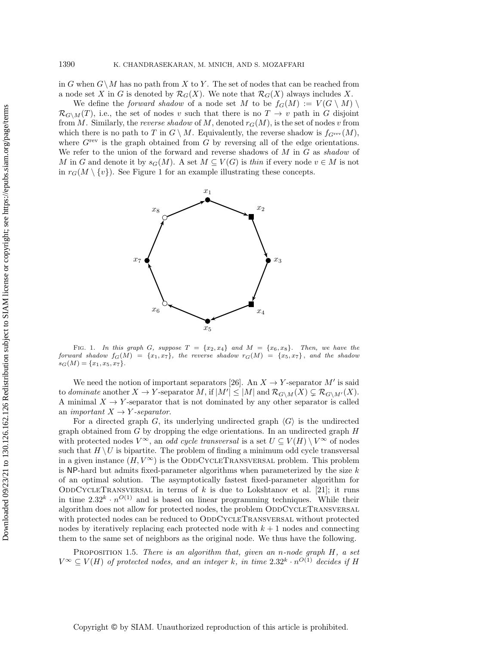in G when  $G\setminus M$  has no path from X to Y. The set of nodes that can be reached from a node set X in G is denoted by  $\mathcal{R}_G(X)$ . We note that  $\mathcal{R}_G(X)$  always includes X.

We define the *forward shadow* of a node set M to be  $f_G(M) := V(G \setminus M) \setminus$  $\mathcal{R}_{G\setminus M}(T)$ , i.e., the set of nodes v such that there is no  $T \rightarrow v$  path in G disjoint from M. Similarly, the reverse shadow of M, denoted  $r_G(M)$ , is the set of nodes v from which there is no path to T in  $G \setminus M$ . Equivalently, the reverse shadow is  $f_{G^{\text{rev}}} (M)$ , where  $G<sup>rev</sup>$  is the graph obtained from  $G$  by reversing all of the edge orientations. We refer to the union of the forward and reverse shadows of  $M$  in  $G$  as shadow of M in G and denote it by  $s_G(M)$ . A set  $M \subseteq V (G)$  is thin if every node  $v \in M$  is not in  $r_G(M \setminus \{ v\})$ . See Figure [1](#page-5-0) for an example illustrating these concepts.

<span id="page-5-0"></span>

FIG. 1. In this graph G, suppose  $T = \{ x_2, x_4\}$  and  $M = \{ x_6, x_8\}$ . Then, we have the forward shadow  $f_G(M) = \{ x_1, x_7\}$ , the reverse shadow  $r_G(M) = \{ x_5, x_7\}$ , and the shadow  $s_G(M) = \{ x_1, x_5, x_7\}.$ 

We need the notion of important separators [\[26\]](#page-23-2). An  $X \rightarrow Y$ -separator M' is said to dominate another  $X \rightarrow Y$ -separator M, if  $|M'| \leq |M|$  and  $\mathcal{R}_{G\setminus M}(X) \subsetneq \mathcal{R}_{G\setminus M'}(X)$ . A minimal  $X \rightarrow Y$ -separator that is not dominated by any other separator is called an *important*  $X \rightarrow Y$  -separator.

For a directed graph G, its underlying undirected graph  $\langle G \rangle$  is the undirected graph obtained from  $G$  by dropping the edge orientations. In an undirected graph  $H$ with protected nodes  $V^{\infty}$ , an *odd cycle transversal* is a set  $U \subseteq V (H) \setminus V^{\infty}$  of nodes such that  $H \setminus U$  is bipartite. The problem of finding a minimum odd cycle transversal in a given instance  $(H, V^{\infty})$  is the ODDCYCLETRANSVERSAL problem. This problem is NP-hard but admits fixed-parameter algorithms when parameterized by the size  $k$ of an optimal solution. The asymptotically fastest fixed-parameter algorithm for ODDCYCLETRANSVERSAL in terms of k is due to Lokshtanov et al. [\[21\]](#page-22-18); it runs in time  $2.32^k \cdot n^{O(1)}$  and is based on linear programming techniques. While their algorithm does not allow for protected nodes, the problem ODDCYCLETRANSVERSAL with protected nodes can be reduced to ODDCYCLETRANSVERSAL without protected nodes by iteratively replacing each protected node with  $k + 1$  nodes and connecting them to the same set of neighbors as the original node. We thus have the following.

<span id="page-5-1"></span>PROPOSITION 1.5. There is an algorithm that, given an n-node graph  $H$ , a set  $V^{\infty} \subseteq V (H)$  of protected nodes, and an integer k, in time  $2.32^k \cdot n^{O(1)}$  decides if H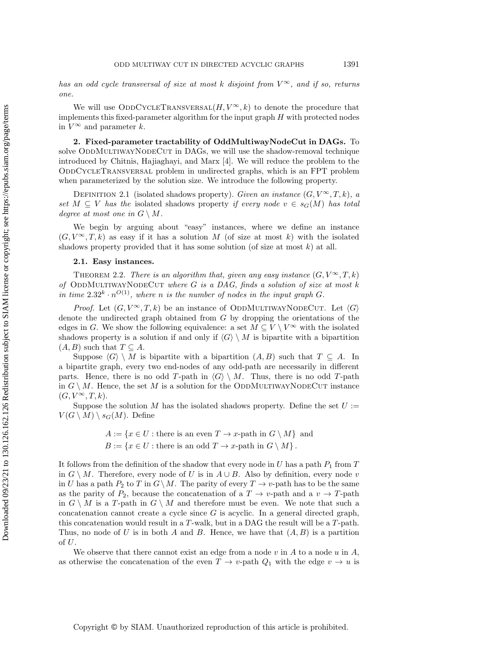has an odd cycle transversal of size at most k disjoint from  $V^{\infty}$ , and if so, returns one.

We will use ODDCYCLETRANSVERSAL $(H, V^{\infty}, k)$  to denote the procedure that implements this fixed-parameter algorithm for the input graph  $H$  with protected nodes in  $V^{\infty}$  and parameter k.

<span id="page-6-0"></span>2. Fixed-parameter tractability of OddMultiwayNodeCut in DAGs. To solve ODDMULTIWAYNODECUT in DAGs, we will use the shadow-removal technique introduced by Chitnis, Hajiaghayi, and Marx [\[4\]](#page-22-8). We will reduce the problem to the OddCycleTransversal problem in undirected graphs, which is an FPT problem when parameterized by the solution size. We introduce the following property.

DEFINITION 2.1 (isolated shadows property). Given an instance  $(G, V^{\infty}, T, k)$ , a set  $M \subseteq V$  has the isolated shadows property if every node  $v \in s_G(M)$  has total degree at most one in  $G \setminus M$ .

We begin by arguing about "easy" instances, where we define an instance  $(G, V^{\infty}, T, k)$  as easy if it has a solution M (of size at most k) with the isolated shadows property provided that it has some solution (of size at most  $k$ ) at all.

#### <span id="page-6-1"></span>2.1. Easy instances.

THEOREM 2.2. There is an algorithm that, given any easy instance  $(G, V^{\infty}, T, k)$ of ODDMULTIWAYNODECUT where G is a DAG, finds a solution of size at most  $k$ in time  $2.32^k \cdot n^{O(1)}$ , where n is the number of nodes in the input graph G.

*Proof.* Let  $(G, V^{\infty}, T, k)$  be an instance of ODDMULTIWAYNODECUT. Let  $\langle G \rangle$ denote the undirected graph obtained from  $G$  by dropping the orientations of the edges in G. We show the following equivalence: a set  $M \subseteq V \setminus V^{\infty}$  with the isolated shadows property is a solution if and only if  $\langle G \rangle \setminus M$  is bipartite with a bipartition  $(A, B)$  such that  $T \subseteq A$ .

Suppose  $\langle G \rangle \setminus M$  is bipartite with a bipartition  $(A, B)$  such that  $T \subseteq A$ . In a bipartite graph, every two end-nodes of any odd-path are necessarily in different parts. Hence, there is no odd T-path in  $\langle G \rangle \setminus M$ . Thus, there is no odd T-path in  $G \setminus M$ . Hence, the set M is a solution for the ODDMULTIWAYNODECUT instance  $(G, V^{\infty}, T, k).$ 

Suppose the solution M has the isolated shadows property. Define the set  $U :=$  $V(G \setminus M) \setminus s_G(M)$ . Define

$$
A := \{x \in U : \text{there is an even } T \to x\text{-path in } G \setminus M\} \text{ and}
$$

$$
B := \{x \in U : \text{there is an odd } T \to x\text{-path in } G \setminus M\}.
$$

It follows from the definition of the shadow that every node in U has a path  $P_1$  from T in  $G \setminus M$ . Therefore, every node of U is in  $A \cup B$ . Also by definition, every node v in U has a path  $P_2$  to T in  $G\setminus M$ . The parity of every  $T \rightarrow v$ -path has to be the same as the parity of  $P_2$ , because the concatenation of a  $T \rightarrow v$ -path and a  $v \rightarrow T$ -path in  $G \setminus M$  is a T-path in  $G \setminus M$  and therefore must be even. We note that such a concatenation cannot create a cycle since  $G$  is acyclic. In a general directed graph, this concatenation would result in a T-walk, but in a DAG the result will be a T-path. Thus, no node of U is in both A and B. Hence, we have that  $(A, B)$  is a partition of  $U$ .

We observe that there cannot exist an edge from a node  $v$  in  $A$  to a node  $u$  in  $A$ , as otherwise the concatenation of the even  $T \rightarrow v$ -path  $Q_1$  with the edge  $v \rightarrow u$  is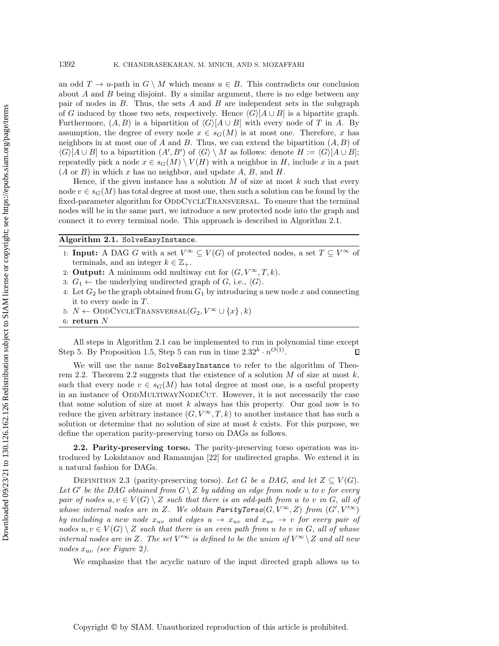an odd  $T \rightarrow u$ -path in  $G \setminus M$  which means  $u \in B$ . This contradicts our conclusion about  $A$  and  $B$  being disjoint. By a similar argument, there is no edge between any pair of nodes in  $B$ . Thus, the sets  $A$  and  $B$  are independent sets in the subgraph of G induced by those two sets, respectively. Hence  $\langle G \rangle [A \cup B]$  is a bipartite graph. Furthermore,  $(A, B)$  is a bipartition of  $\langle G \rangle [A \cup B]$  with every node of T in A. By assumption, the degree of every node  $x \in s_G(M)$  is at most one. Therefore, x has neighbors in at most one of A and B. Thus, we can extend the bipartition  $(A, B)$  of  $\langle G \rangle [A \cup B]$  to a bipartition  $(A', B')$  of  $\langle G \rangle \setminus M$  as follows: denote  $H := \langle G \rangle [A \cup B];$ repeatedly pick a node  $x \in s_G(M) \setminus V (H)$  with a neighbor in H, include x in a part  $(A \text{ or } B)$  in which x has no neighbor, and update A, B, and H.

Hence, if the given instance has a solution  $M$  of size at most  $k$  such that every node  $v \in s_G(M)$  has total degree at most one, then such a solution can be found by the fixed-parameter algorithm for ODDCYCLETRANSVERSAL. To ensure that the terminal nodes will be in the same part, we introduce a new protected node into the graph and connect it to every terminal node. This approach is described in Algorithm [2.1.](#page-7-0)

#### <span id="page-7-0"></span>Algorithm  $2.1$ . SolveEasyInstance

- 1: **Input:** A DAG G with a set  $V^{\infty} \subset V (G)$  of protected nodes, a set  $T \subset V^{\infty}$  of terminals, and an integer  $k \in \mathbb{Z}_+$ .
- 2: **Output:** A minimum odd multiway cut for  $(G, V^{\infty}, T, k)$ .
- 3:  $G_1 \leftarrow$  the underlying undirected graph of G, i.e.,  $\langle G \rangle$ .
- 4: Let  $G_2$  be the graph obtained from  $G_1$  by introducing a new node x and connecting it to every node in T.
- 5:  $N \leftarrow \text{ODDCYCLETRANSVERSAL}(G_2, V^{\infty} \cup \{ x\} , k)$
- 6: return  $N$

All steps in Algorithm [2.1](#page-7-0) can be implemented to run in polynomial time except Step [5.](#page-7-0) By Proposition [1.5,](#page-5-1) Step [5](#page-7-0) can run in time  $2.32^k \cdot n^{O(1)}$ .  $\Box$ 

We will use the name  $\text{SolveEasyInstance}$  to refer to the algorithm of Theo-rem [2.2.](#page-6-1) Theorem [2.2](#page-6-1) suggests that the existence of a solution  $M$  of size at most  $k$ , such that every node  $v \in s_G(M)$  has total degree at most one, is a useful property in an instance of ODDMULTIWAYNODECUT. However, it is not necessarily the case that some solution of size at most  $k$  always has this property. Our goal now is to reduce the given arbitrary instance  $(G, V^{\infty}, T, k)$  to another instance that has such a solution or determine that no solution of size at most  $k$  exists. For this purpose, we define the operation parity-preserving torso on DAGs as follows.

2.2. Parity-preserving torso. The parity-preserving torso operation was introduced by Lokshtanov and Ramanujan [\[22\]](#page-22-10) for undirected graphs. We extend it in a natural fashion for DAGs.

DEFINITION 2.3 (parity-preserving torso). Let G be a DAG, and let  $Z \subseteq V (G)$ . Let G' be the DAG obtained from  $G \setminus Z$  by adding an edge from node u to v for every pair of nodes  $u, v \in V (G) \setminus Z$  such that there is an odd-path from u to v in G, all of whose internal nodes are in Z. We obtain ParityTorso( $G, V^{\infty}, Z$ ) from  $(G', V'^{\infty})$ by including a new node  $x_{uv}$  and edges  $u \rightarrow x_{uv}$  and  $x_{uv} \rightarrow v$  for every pair of nodes  $u, v \in V (G) \setminus Z$  such that there is an even path from u to v in G, all of whose internal nodes are in Z. The set  $V'^{\infty}$  is defined to be the union of  $V^{\infty} \setminus Z$  and all new nodes  $x_{uv}$  (see Figure [2](#page-8-0)).

We emphasize that the acyclic nature of the input directed graph allows us to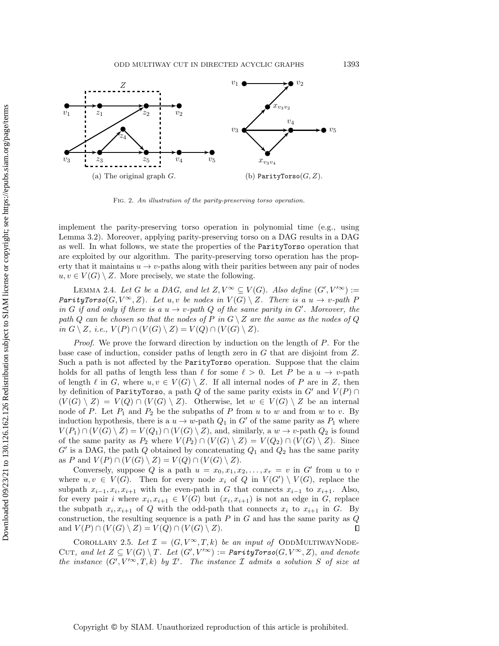<span id="page-8-0"></span>

<span id="page-8-1"></span>Fig. 2. An illustration of the parity-preserving torso operation.

implement the parity-preserving torso operation in polynomial time (e.g., using Lemma [3.2\)](#page-14-0). Moreover, applying parity-preserving torso on a DAG results in a DAG as well. In what follows, we state the properties of the **Parity Torso** operation that are exploited by our algorithm. The parity-preserving torso operation has the property that it maintains  $u \rightarrow v$ -paths along with their parities between any pair of nodes  $u, v \in V (G) \setminus Z$ . More precisely, we state the following.

LEMMA 2.4. Let G be a DAG, and let  $Z, V^{\infty} \subseteq V (G)$ . Also define  $(G', V'^{\infty}) :=$ ParityTorso(G,  $V^{\infty}$ , Z). Let u, v be nodes in  $V(G) \setminus Z$ . There is a  $u \rightarrow v$ -path P in G if and only if there is a  $u \rightarrow v$ -path Q of the same parity in G'. Moreover, the path Q can be chosen so that the nodes of P in  $G \setminus Z$  are the same as the nodes of Q in  $G \setminus Z$ , i.e.,  $V (P) \cap (V (G) \setminus Z) = V (Q) \cap (V (G) \setminus Z).$ 

*Proof.* We prove the forward direction by induction on the length of  $P$ . For the base case of induction, consider paths of length zero in G that are disjoint from Z. Such a path is not affected by the  $\text{ParityTors}$  operation. Suppose that the claim holds for all paths of length less than  $\ell$  for some  $\ell > 0$ . Let P be a  $u \rightarrow v$ -path of length  $\ell$  in G, where  $u, v \in V (G) \setminus Z$ . If all internal nodes of P are in Z, then by definition of Parity Torso, a path Q of the same parity exists in  $G'$  and  $V (P) \cap$  $(V (G) \setminus Z) = V (Q) \cap (V (G) \setminus Z)$ . Otherwise, let  $w \in V (G) \setminus Z$  be an internal node of P. Let  $P_1$  and  $P_2$  be the subpaths of P from u to w and from w to v. By induction hypothesis, there is a  $u \rightarrow w$ -path  $Q_1$  in G' of the same parity as  $P_1$  where  $V (P_1) \cap (V (G) \setminus Z) = V (Q_1) \cap (V (G) \setminus Z)$ , and, similarly, a  $w \rightarrow v$ -path  $Q_2$  is found of the same parity as  $P_2$  where  $V(P_2) \cap (V (G) \setminus Z) = V (Q_2) \cap (V (G) \setminus Z)$ . Since  $G'$  is a DAG, the path Q obtained by concatenating  $Q_1$  and  $Q_2$  has the same parity as P and  $V(P) \cap (V (G) \setminus Z) = V (Q) \cap (V (G) \setminus Z)$ .

Conversely, suppose Q is a path  $u = x_0, x_1, x_2, \ldots, x_r = v$  in G' from u to v where  $u, v \in V (G)$ . Then for every node  $x_i$  of Q in  $V (G') \setminus V (G)$ , replace the subpath  $x_{i-1}, x_i, x_{i+1}$  with the even-path in G that connects  $x_{i-1}$  to  $x_{i+1}$ . Also, for every pair i where  $x_i, x_{i+1} \in V(G)$  but  $(x_i, x_{i+1})$  is not an edge in G, replace the subpath  $x_i, x_{i+1}$  of Q with the odd-path that connects  $x_i$  to  $x_{i+1}$  in G. By construction, the resulting sequence is a path  $P$  in  $G$  and has the same parity as  $Q$ and  $V(P) \cap (V (G) \setminus Z) = V (Q) \cap (V (G) \setminus Z).$  $\Box$ 

<span id="page-8-2"></span>COROLLARY 2.5. Let  $\mathcal{I} = (G, V^{\infty}, T, k)$  be an input of ODDMULTIWAYNODE-CUT, and let  $Z \subseteq V (G) \setminus T$ . Let  $(G', V'^{\infty}) :=$  ParityTorso( $G, V^{\infty}, Z$ ), and denote the instance  $(G', V' \infty, T, k)$  by  $\mathcal{I}'$ . The instance  $\mathcal I$  admits a solution S of size at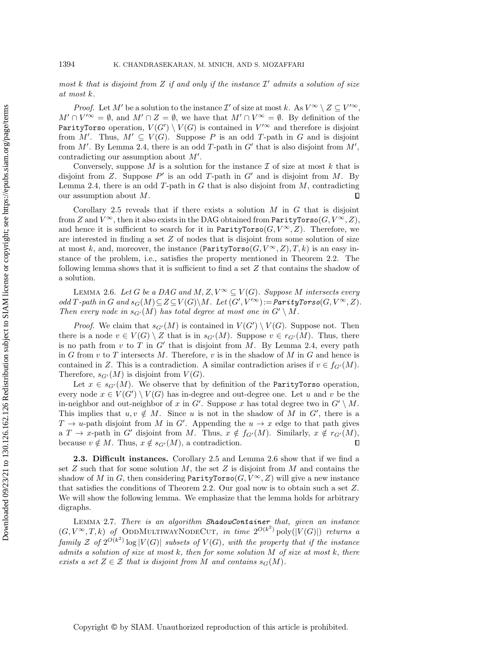most k that is disjoint from Z if and only if the instance  $\mathcal{I}'$  admits a solution of size at most k.

*Proof.* Let M' be a solution to the instance  $\mathcal{I}'$  of size at most k. As  $V^{\infty} \setminus Z \subseteq V'^{\infty}$ ,  $M' \cap V'^{\infty} = \emptyset$ , and  $M' \cap Z = \emptyset$ , we have that  $M' \cap V^{\infty} = \emptyset$ . By definition of the Parity Torso operation,  $V (G') \setminus V (G)$  is contained in  $V'^{\infty}$  and therefore is disjoint from M'. Thus,  $M' \subseteq V (G)$ . Suppose P is an odd T-path in G and is disjoint from M'. By Lemma [2.4,](#page-8-1) there is an odd T-path in  $G'$  that is also disjoint from  $M',$ contradicting our assumption about  $M'$ .

Conversely, suppose M is a solution for the instance  $\mathcal I$  of size at most k that is disjoint from Z. Suppose  $P'$  is an odd T-path in G' and is disjoint from M. By Lemma [2.4,](#page-8-1) there is an odd  $T$ -path in  $G$  that is also disjoint from  $M$ , contradicting our assumption about M.  $\Box$ 

Corollary [2.5](#page-8-2) reveals that if there exists a solution  $M$  in  $G$  that is disjoint from Z and  $V^\infty$ , then it also exists in the DAG obtained from  $\text{ParityTors}$  o( $G, V^\infty , Z$ ), and hence it is sufficient to search for it in  $\text{ParityTorso}(G, V^{\infty}, Z)$ . Therefore, we are interested in finding a set  $Z$  of nodes that is disjoint from some solution of size at most k, and, moreover, the instance  $(\text{ParityTorso}(G, V^{\infty}, Z), T, k)$  is an easy instance of the problem, i.e., satisfies the property mentioned in Theorem [2.2.](#page-6-1) The following lemma shows that it is sufficient to find a set  $Z$  that contains the shadow of a solution.

<span id="page-9-0"></span>LEMMA 2.6. Let G be a DAG and M,  $Z, V^{\infty} \subseteq V (G)$ . Suppose M intersects every  $odd T-path in G and s_G(M) \subseteq Z \subseteq V (G)\backslash M.$  Let  $(G', V'^{\infty}) :=$ ParityTorso $(G, V^{\infty}, Z)$ . Then every node in  $s_{G'}(M)$  has total degree at most one in  $G' \setminus M$ .

*Proof.* We claim that  $s_{G'}(M)$  is contained in  $V (G') \setminus V (G)$ . Suppose not. Then there is a node  $v \in V (G) \setminus Z$  that is in  $s_{G'}(M)$ . Suppose  $v \in r_{G'}(M)$ . Thus, there is no path from  $v$  to  $T$  in  $G'$  that is disjoint from  $M$ . By Lemma [2.4,](#page-8-1) every path in G from  $v$  to T intersects M. Therefore,  $v$  is in the shadow of M in G and hence is contained in Z. This is a contradiction. A similar contradiction arises if  $v \in f_{G\prime}(M)$ . Therefore,  $s_{G'}(M)$  is disjoint from  $V(G)$ .

Let  $x \in s_{G'}(M)$ . We observe that by definition of the Parity Torso operation, every node  $x \in V (G') \setminus V (G)$  has in-degree and out-degree one. Let u and v be the in-neighbor and out-neighbor of x in G'. Suppose x has total degree two in  $G' \setminus M$ . This implies that  $u, v \notin M$ . Since u is not in the shadow of M in G', there is a  $T \rightarrow u$ -path disjoint from M in G'. Appending the  $u \rightarrow x$  edge to that path gives a  $T \rightarrow x$ -path in G' disjoint from M. Thus,  $x \notin f_{G'}(M)$ . Similarly,  $x \notin r_{G'}(M)$ , because  $v \notin M$ . Thus,  $x \notin s_{G'}(M)$ , a contradiction.  $\Box$ 

2.3. Difficult instances. Corollary [2.5](#page-8-2) and Lemma [2.6](#page-9-0) show that if we find a set  $Z$  such that for some solution  $M$ , the set  $Z$  is disjoint from  $M$  and contains the shadow of M in G, then considering  $\text{ParityTorso}(G, V^\infty , Z)$  will give a new instance that satisfies the conditions of Theorem [2.2.](#page-6-1) Our goal now is to obtain such a set Z. We will show the following lemma. We emphasize that the lemma holds for arbitrary digraphs.

<span id="page-9-1"></span>LEMMA 2.7. There is an algorithm ShadowContainer that, given an instance  $(G, V^{\infty}, T, k)$  of ODDMULTIWAYNODECUT, in time  $2^{O(k^2)}$  poly $(|V(G)|)$  returns a family Z of  $2^{O(k^2)}$  log  $|V(G)|$  subsets of  $V(G)$ , with the property that if the instance admits a solution of size at most  $k$ , then for some solution  $M$  of size at most  $k$ , there exists a set  $Z \in \mathcal{Z}$  that is disjoint from M and contains  $s_G(M)$ .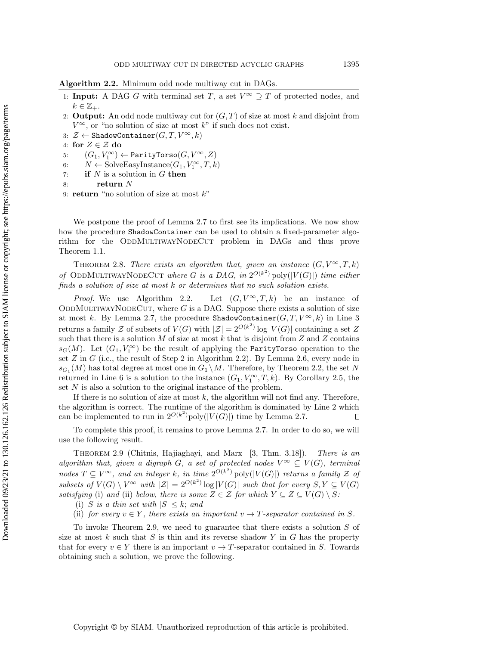<span id="page-10-0"></span>

| Algorithm 2.2. Minimum odd node multiway cut in DAGs. |  |  |  |  |
|-------------------------------------------------------|--|--|--|--|
|                                                       |  |  |  |  |

- 1: **Input:** A DAG G with terminal set T, a set  $V^{\infty} \supseteq T$  of protected nodes, and  $k \in \mathbb{Z}_+$ .
- 2: **Output:** An odd node multiway cut for  $(G, T)$  of size at most k and disjoint from  $V^{\infty}$ , or "no solution of size at most k" if such does not exist.
- 3:  $\mathcal{Z} \leftarrow \text{ShadowContainer}(G, T, V^\infty , k)$
- 4: for  $Z \in \mathcal{Z}$  do
- 5:  $(G_1, V_1^\infty) \leftarrow$  ParityTorso $(G, V^\infty , Z)$
- 6:  $N \leftarrow \text{SolveEasyInstance}(G_1, V_1^\infty, T, k)$
- 7: if  $N$  is a solution in  $G$  then
- 8: return  $N$
- 9: return "no solution of size at most  $k$ "

We postpone the proof of Lemma [2.7](#page-9-1) to first see its implications. We now show how the procedure  $\texttt{ShadowContainer}$  can be used to obtain a fixed-parameter algorithm for the ODDMULTIWAYNODECUT problem in DAGs and thus prove Theorem [1.1.](#page-3-0)

THEOREM 2.8. There exists an algorithm that, given an instance  $(G, V^{\infty}, T, k)$ of ODDMULTIWAYNODECUT where G is a DAG, in  $2^{O(k^2)}$  poly $(|V(G)|)$  time either finds a solution of size at most k or determines that no such solution exists.

*Proof.* We use Algorithm [2.2.](#page-10-0) Let  $(G, V^{\infty}, T, k)$  be an instance of ODDMULTIWAYNODECUT, where  $G$  is a DAG. Suppose there exists a solution of size at most k. By Lemma [2.7,](#page-9-1) the procedure  $\texttt{ShadowContainer}(G, T, V^{\infty}, k)$  in Line [3](#page-10-0) returns a family  $\mathcal Z$  of subsets of  $V(G)$  with  $|\mathcal Z| = 2^{O(k^2)} \log |V(G)|$  containing a set Z such that there is a solution  $M$  of size at most  $k$  that is disjoint from  $Z$  and  $Z$  contains  $s_G(M)$ . Let  $(G_1, V_1^{\infty})$  be the result of applying the Parity Torso operation to the set  $Z$  in  $G$  (i.e., the result of Step 2 in Algorithm [2.2\)](#page-10-0). By Lemma [2.6,](#page-9-0) every node in  $s_{G_1}(M)$  has total degree at most one in  $G_1 \setminus M$ . Therefore, by Theorem [2.2,](#page-6-1) the set N returned in Line [6](#page-10-0) is a solution to the instance  $(G_1, V_1^{\infty}, T, k)$ . By Corollary [2.5,](#page-8-2) the set N is also a solution to the original instance of the problem.

If there is no solution of size at most  $k$ , the algorithm will not find any. Therefore, the algorithm is correct. The runtime of the algorithm is dominated by Line 2 which can be implemented to run in  $2^{O(k^2)}$ poly $(|V(G)|)$  time by Lemma [2.7.](#page-9-1)  $\Box$ 

<span id="page-10-1"></span>To complete this proof, it remains to prove Lemma [2.7.](#page-9-1) In order to do so, we will use the following result.

THEOREM 2.9 (Chitnis, Hajiaghayi, and Marx [\[3,](#page-22-19) Thm. 3.18]). There is an algorithm that, given a digraph G, a set of protected nodes  $V^{\infty} \subseteq V (G)$ , terminal nodes  $T \subseteq V^{\infty}$ , and an integer k, in time  $2^{O(k^2)}$  poly( $|V(G)|$ ) returns a family  $\mathcal Z$  of subsets of  $V(G) \setminus V^{\infty}$  with  $|\mathcal{Z}| = 2^{O(k^2)} \log |V(G)|$  such that for every  $S, Y \subseteq V(G)$ satisfying (i) and (ii) below, there is some  $Z \in \mathcal{Z}$  for which  $Y \subseteq Z \subseteq V (G) \setminus S$ :

(i) S is a thin set with  $|S| \leq k$ ; and

(ii) for every  $v \in Y$ , there exists an important  $v \rightarrow T$ -separator contained in S.

<span id="page-10-2"></span>To invoke Theorem [2.9,](#page-10-1) we need to guarantee that there exists a solution  $S$  of size at most  $k$  such that  $S$  is thin and its reverse shadow  $Y$  in  $G$  has the property that for every  $v \in Y$  there is an important  $v \rightarrow T$ -separator contained in S. Towards obtaining such a solution, we prove the following.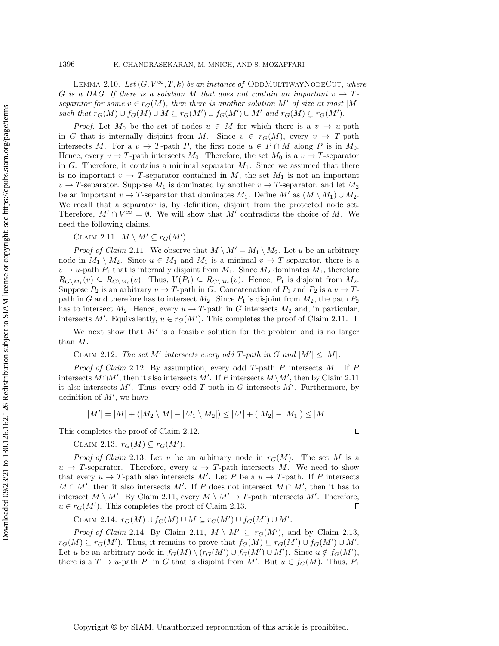LEMMA 2.10. Let  $(G, V^{\infty}, T, k)$  be an instance of ODDMULTIWAYNODECUT, where G is a DAG. If there is a solution M that does not contain an important  $v \rightarrow T$ separator for some  $v \in r_G(M)$ , then there is another solution M' of size at most |M| such that  $r_G(M) \cup f_G(M) \cup M \subseteq r_G(M') \cup f_G(M') \cup M'$  and  $r_G(M) \subsetneq r_G(M')$ .

*Proof.* Let  $M_0$  be the set of nodes  $u \in M$  for which there is a  $v \rightarrow u$ -path in G that is internally disjoint from M. Since  $v \in r_G(M)$ , every  $v \rightarrow T$ -path intersects M. For a  $v \rightarrow T$ -path P, the first node  $u \in P \cap M$  along P is in  $M_0$ . Hence, every  $v \rightarrow T$ -path intersects  $M_0$ . Therefore, the set  $M_0$  is a  $v \rightarrow T$ -separator in G. Therefore, it contains a minimal separator  $M_1$ . Since we assumed that there is no important  $v \rightarrow T$ -separator contained in M, the set  $M_1$  is not an important  $v \rightarrow T$ -separator. Suppose  $M_1$  is dominated by another  $v \rightarrow T$ -separator, and let  $M_2$ be an important  $v \rightarrow T$ -separator that dominates  $M_1$ . Define  $M'$  as  $(M \setminus M_1) \cup M_2$ . We recall that a separator is, by definition, disjoint from the protected node set. Therefore,  $M' \cap V^{\infty} = \emptyset$ . We will show that M' contradicts the choice of M. We need the following claims.

<span id="page-11-0"></span>CLAIM 2.11.  $M \setminus M' \subseteq r_G(M').$ 

*Proof of Claim [2.11](#page-11-0).* We observe that  $M \setminus M' = M_1 \setminus M_2$ . Let u be an arbitrary node in  $M_1 \setminus M_2$ . Since  $u \in M_1$  and  $M_1$  is a minimal  $v \rightarrow T$ -separator, there is a  $v \rightarrow u$ -path  $P_1$  that is internally disjoint from  $M_1$ . Since  $M_2$  dominates  $M_1$ , therefore  $R_{G\setminus M_1}(v) \subseteq R_{G\setminus M_2}(v)$ . Thus,  $V(P_1) \subseteq R_{G\setminus M_2}(v)$ . Hence,  $P_1$  is disjoint from  $M_2$ . Suppose  $P_2$  is an arbitrary  $u \rightarrow T$ -path in G. Concatenation of  $P_1$  and  $P_2$  is a  $v \rightarrow T$ path in G and therefore has to intersect  $M_2$ . Since  $P_1$  is disjoint from  $M_2$ , the path  $P_2$ has to intersect  $M_2$ . Hence, every  $u \rightarrow T$ -path in G intersects  $M_2$  and, in particular, intersects M'. Equivalently,  $u \in r_G(M')$ . This completes the proof of Claim [2.11.](#page-11-0)

We next show that  $M'$  is a feasible solution for the problem and is no larger than M.

<span id="page-11-1"></span>CLAIM 2.12. The set M' intersects every odd T-path in G and  $|M'| \leq |M|$ .

Proof of Claim [2.12](#page-11-1). By assumption, every odd T-path P intersects M. If P intersects  $M\cap M'$ , then it also intersects M'. If P intersects  $M\setminus M'$ , then by Claim [2.11](#page-11-0) it also intersects  $M'$ . Thus, every odd T-path in G intersects  $M'$ . Furthermore, by definition of  $M'$ , we have

$$
|M'| = |M| + (|M_2 \setminus M| - |M_1 \setminus M_2|) \le |M| + (|M_2| - |M_1|) \le |M|.
$$

<span id="page-11-2"></span>This completes the proof of Claim [2.12.](#page-11-1)

CLAIM 2.13.  $r_G(M) \subseteq r_G(M').$ 

*Proof of Claim* [2.13](#page-11-2). Let u be an arbitrary node in  $r_G(M)$ . The set M is a  $u \rightarrow T$ -separator. Therefore, every  $u \rightarrow T$ -path intersects M. We need to show that every  $u \rightarrow T$ -path also intersects M'. Let P be a  $u \rightarrow T$ -path. If P intersects  $M \cap M'$ , then it also intersects M'. If P does not intersect  $M \cap M'$ , then it has to intersect  $M \setminus M'$ . By Claim [2.11,](#page-11-0) every  $M \setminus M' \rightarrow T$ -path intersects M'. Therefore,  $u \in r_G(M')$ . This completes the proof of Claim [2.13.](#page-11-2)  $\Box$ 

<span id="page-11-3"></span>CLAIM 2.14.  $r_G(M) \cup f_G(M) \cup M \subseteq r_G(M') \cup f_G(M') \cup M'.$ 

*Proof of Claim* [2.14](#page-11-3). By Claim [2.11,](#page-11-0)  $M \setminus M' \subseteq r_G(M')$ , and by Claim [2.13,](#page-11-2)  $r_G(M) \subseteq r_G(M')$ . Thus, it remains to prove that  $f_G(M) \subseteq r_G(M') \cup f_G(M') \cup M'.$ Let u be an arbitrary node in  $f_G(M) \setminus (r_G(M') \cup f_G(M') \cup M')$ . Since  $u \notin f_G(M')$ , there is a  $T \rightarrow u$ -path  $P_1$  in G that is disjoint from M'. But  $u \in f_G(M)$ . Thus,  $P_1$ 

 $\Box$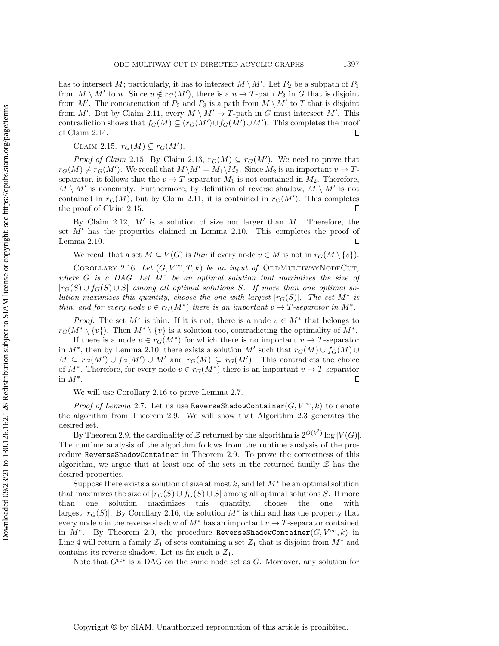has to intersect M; particularly, it has to intersect  $M \setminus M'$ . Let  $P_2$  be a subpath of  $P_1$ from  $M \setminus M'$  to u. Since  $u \notin r_G(M')$ , there is a  $u \to T$ -path  $P_3$  in G that is disjoint from M'. The concatenation of  $P_2$  and  $P_3$  is a path from  $M \setminus M'$  to T that is disjoint from M'. But by Claim [2.11,](#page-11-0) every  $M \setminus M' \rightarrow T$ -path in G must intersect M'. This contradiction shows that  $f_G(M) \subseteq (r_G(M') \cup f_G(M') \cup M')$ . This completes the proof of Claim [2.14.](#page-11-3)  $\Box$ 

<span id="page-12-0"></span>CLAIM 2.15.  $r_G(M) \subsetneq r_G(M').$ 

*Proof of Claim* [2.15](#page-12-0). By Claim [2.13,](#page-11-2)  $r_G(M) \subseteq r_G(M')$ . We need to prove that  $r_G(M) \neq r_G(M')$ . We recall that  $M\setminus M' = M_1\setminus M_2$ . Since  $M_2$  is an important  $v \rightarrow T$ separator, it follows that the  $v \rightarrow T$ -separator  $M_1$  is not contained in  $M_2$ . Therefore,  $M \setminus M'$  is nonempty. Furthermore, by definition of reverse shadow,  $M \setminus M'$  is not contained in  $r_G(M)$ , but by Claim [2.11,](#page-11-0) it is contained in  $r_G(M')$ . This completes the proof of Claim [2.15.](#page-12-0)  $\Box$ 

By Claim [2.12,](#page-11-1)  $M'$  is a solution of size not larger than  $M$ . Therefore, the set  $M'$  has the properties claimed in Lemma [2.10.](#page-10-2) This completes the proof of Lemma [2.10.](#page-10-2)  $\Box$ 

<span id="page-12-1"></span>We recall that a set  $M \subseteq V (G)$  is thin if every node  $v \in M$  is not in  $r_G(M \setminus \{ v\} )$ .

COROLLARY 2.16. Let  $(G, V^{\infty}, T, k)$  be an input of ODDMULTIWAYNODECUT, where  $G$  is a DAG. Let  $M^*$  be an optimal solution that maximizes the size of  $|r_G(S) \cup f_G(S) \cup S|$  among all optimal solutions S. If more than one optimal solution maximizes this quantity, choose the one with largest  $|r_G(S)|$ . The set  $M^*$  is thin, and for every node  $v \in r_G(M^*)$  there is an important  $v \to T$ -separator in  $M^*$ .

*Proof.* The set  $M^*$  is thin. If it is not, there is a node  $v \in M^*$  that belongs to  $r_G(M^* \setminus \{ v\})$ . Then  $M^* \setminus \{ v\}$  is a solution too, contradicting the optimality of  $M^*$ .

If there is a node  $v \in r_G(M^*)$  for which there is no important  $v \to T$ -separator in  $M^*$ , then by Lemma [2.10,](#page-10-2) there exists a solution M' such that  $r_G(M) \cup f_G(M) \cup$  $M \subseteq r_G(M') \cup f_G(M') \cup M'$  and  $r_G(M) \subsetneq r_G(M')$ . This contradicts the choice of  $M^*$ . Therefore, for every node  $v \in r_G(M^*)$  there is an important  $v \to T$ -separator in  $M^*$ .  $\Box$ 

We will use Corollary [2.16](#page-12-1) to prove Lemma [2.7.](#page-9-1)

*Proof of Lemma [2.7](#page-9-1).* Let us use ReverseShadowContainer( $G, V^{\infty}, k$ ) to denote the algorithm from Theorem [2.9.](#page-10-1) We will show that Algorithm [2.3](#page-13-0) generates the desired set.

By Theorem [2.9,](#page-10-1) the cardinality of  $\mathcal Z$  returned by the algorithm is  $2^{O(k^2)} \log |V(G)|$ . The runtime analysis of the algorithm follows from the runtime analysis of the pro- $\text{cedure ReverseShadowContainer}$  in Theorem [2.9.](#page-10-1) To prove the correctness of this algorithm, we argue that at least one of the sets in the returned family  $\mathcal Z$  has the desired properties.

Suppose there exists a solution of size at most k, and let  $M^*$  be an optimal solution that maximizes the size of  $|r_G(S) \cup f_G(S) \cup S|$  among all optimal solutions S. If more than one solution maximizes this quantity, choose the one with largest  $|r_G(S)|$ . By Corollary [2.16,](#page-12-1) the solution  $M^*$  is thin and has the property that every node v in the reverse shadow of  $M^*$  has an important  $v \rightarrow T$ -separator contained in  $M^*$ . By Theorem [2.9,](#page-10-1) the procedure ReverseShadowContainer $(G, V^{\infty}, k)$  in Line [4](#page-13-0) will return a family  $\mathcal{Z}_1$  of sets containing a set  $\mathcal{Z}_1$  that is disjoint from  $M^*$  and contains its reverse shadow. Let us fix such a  $Z_1$ .

Note that  $G^{\text{rev}}$  is a DAG on the same node set as G. Moreover, any solution for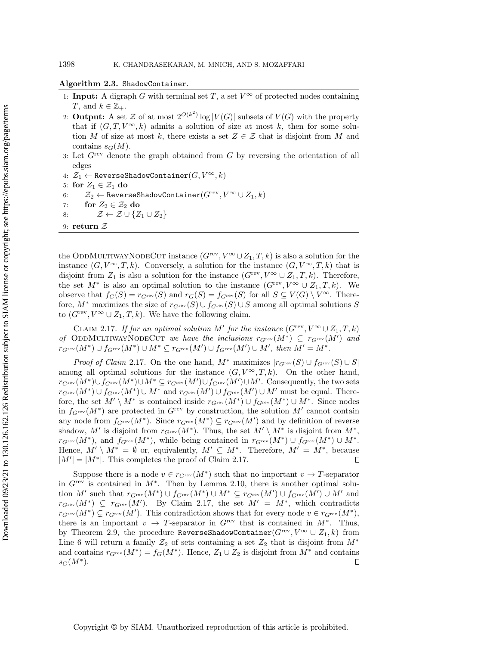### <span id="page-13-0"></span>Algorithm  $2.3$ . ShadowContainer.

- 1: **Input:** A digraph G with terminal set T, a set  $V^{\infty}$  of protected nodes containing T, and  $k \in \mathbb{Z}_+$ .
- 2: **Output:** A set  $\mathcal Z$  of at most  $2^{O(k^2)} \log |V(G)|$  subsets of  $V(G)$  with the property that if  $(G, T, V^{\infty}, k)$  admits a solution of size at most k, then for some solution M of size at most k, there exists a set  $Z \in \mathcal{Z}$  that is disjoint from M and contains  $s_G(M)$ .
- 3: Let  $G^{\text{rev}}$  denote the graph obtained from G by reversing the orientation of all edges
- 4:  $\mathcal{Z}_1 \leftarrow \texttt{ReverseShadowContainer}(G, V^\infty, k)$
- 5: for  $Z_1 \in \mathcal{Z}_1$  do
- 6:  $\mathcal{Z}_2 \leftarrow \texttt{ReverseShadowContainer}(G^{\text{rev}}, V^\infty \cup Z_1, k)$
- 7: for  $Z_2 \in \mathcal{Z}_2$  do
- 8:  $\mathcal{Z} \leftarrow \mathcal{Z} \cup \{ Z_1 \cup Z_2\}$
- 9: return  $\mathcal Z$

the ODDMULTIWAYNODECUT instance  $(G<sup>rev</sup>, V<sup>\infty</sup> \cup Z_1, T, k)$  is also a solution for the instance  $(G, V^{\infty}, T, k)$ . Conversely, a solution for the instance  $(G, V^{\infty}, T, k)$  that is disjoint from  $Z_1$  is also a solution for the instance  $(G<sup>rev</sup>, V<sup>\infty</sup> \cup Z_1, T, k)$ . Therefore, the set  $M^*$  is also an optimal solution to the instance  $(G<sup>rev</sup>, V<sup>\infty</sup> \cup Z_1, T, k)$ . We observe that  $f_G(S) = r_{G^{rev}}(S)$  and  $r_G(S) = f_{G^{rev}}(S)$  for all  $S \subseteq V (G) \setminus V^{\infty}$ . Therefore,  $M^*$  maximizes the size of  $r_{G^{\text{rev}}}(S) \cup f_{G^{\text{rev}}}(S) \cup S$  among all optimal solutions S to  $(G<sup>rev</sup>, V<sup>\infty</sup> \cup Z_1, T, k)$ . We have the following claim.

<span id="page-13-1"></span>CLAIM 2.17. If for an optimal solution M' for the instance  $(G<sup>rev</sup>, V<sup>\infty</sup> \cup Z_1, T, k)$ of ODDMULTIWAYNODECUT we have the inclusions  $r_{G^{\text{rev}}}(M^*) \subseteq r_{G^{\text{rev}}}(M')$  and  $r_{G^{\text{rev}}}(M^*) \cup f_{G^{\text{rev}}}(M^*) \cup M^* \subseteq r_{G^{\text{rev}}}(M') \cup f_{G^{\text{rev}}}(M') \cup M', \text{ then } M' = M^*.$ 

*Proof of Claim [2.17](#page-13-1).* On the one hand,  $M^*$  maximizes  $| r_{G^{rev}}(S) \cup f_{G^{rev}}(S) \cup S|$ among all optimal solutions for the instance  $(G, V^{\infty}, T, k)$ . On the other hand,  $r_{G^{\rm rev}}(M^*)\cup f_{G^{\rm rev}}(M^*)\cup M^*\subseteq r_{G^{\rm rev}}(M')\cup f_{G^{\rm rev}}(M')\cup M'.$  Consequently, the two sets  $r_{G^{\text{rev}}}(M^*) \cup f_{G^{\text{rev}}}(M^*) \cup M^*$  and  $r_{G^{\text{rev}}}(M') \cup f_{G^{\text{rev}}}(M') \cup M'$  must be equal. Therefore, the set  $M' \setminus M^*$  is contained inside  $r_{G^{\text{rev}}} (M^*) \cup f_{G^{\text{rev}}} (M^*) \cup M^*$ . Since nodes in  $f_{G}^{\text{rev}}(M^*)$  are protected in  $G^{\text{rev}}$  by construction, the solution  $M'$  cannot contain any node from  $f_{G^{\text{rev}}}(M^*)$ . Since  $r_{G^{\text{rev}}}(M^*) \subseteq r_{G^{\text{rev}}}(M')$  and by definition of reverse shadow, M' is disjoint from  $r_{G^{\text{rev}}} (M^*)$ . Thus, the set  $M'\setminus M^*$  is disjoint from  $M^*$ ,  $r_{G^{\text{rev}}}(M^{\ast})$ , and  $f_{G^{\text{rev}}}(M^{\ast})$ , while being contained in  $r_{G^{\text{rev}}}(M^{\ast}) \cup f_{G^{\text{rev}}}(M^{\ast}) \cup M^{\ast}$ . Hence,  $M' \setminus M^* = \emptyset$  or, equivalently,  $M' \subseteq M^*$ . Therefore,  $M' = M^*$ , because  $|M'| = |M^*|$ . This completes the proof of Claim [2.17.](#page-13-1) П

Suppose there is a node  $v \in r_{G^{\text{rev}}} (M^*)$  such that no important  $v \to T$ -separator in  $G^{\text{rev}}$  is contained in  $M^*$ . Then by Lemma [2.10,](#page-10-2) there is another optimal solution M' such that  $r_{G^{\text{rev}}} (M^*) \cup f_{G^{\text{rev}}} (M^*) \cup M^* \subseteq r_{G^{\text{rev}}} (M') \cup f_{G^{\text{rev}}} (M') \cup M'$  and  $r_{G<sup>rev</sup>}(M^*) \subsetneq r_{G<sup>rev</sup>}(M').$  By Claim [2.17,](#page-13-1) the set  $M' = M^*$ , which contradicts  $r_{G^{\text{rev}}}(M^*) \subsetneq r_{G^{\text{rev}}}(M')$ . This contradiction shows that for every node  $v \in r_{G^{\text{rev}}}(M^*)$ , there is an important  $v \rightarrow T$ -separator in  $G^{\text{rev}}$  that is contained in  $M^*$ . Thus, by Theorem [2.9,](#page-10-1) the procedure ReverseShadowContainer( $G^{\text{rev}}, V^{\infty} \cup Z_1, k$ ) from Line [6](#page-13-0) will return a family  $\mathcal{Z}_2$  of sets containing a set  $\mathcal{Z}_2$  that is disjoint from  $M^*$ and contains  $r_{G^{\text{rev}}}(M^*) = f_G(M^*)$ . Hence,  $Z_1 \cup Z_2$  is disjoint from  $M^*$  and contains  $s_G(M^*).$  $\Box$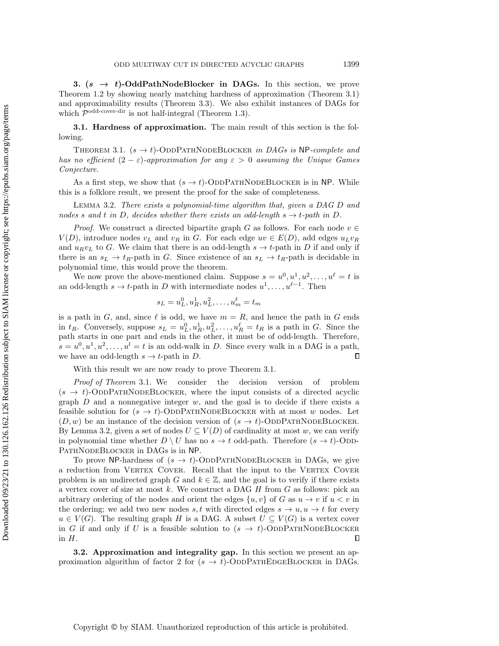<span id="page-14-1"></span>3.  $(s \rightarrow t)$ -OddPathNodeBlocker in DAGs. In this section, we prove Theorem [1.2](#page-3-1) by showing nearly matching hardness of approximation (Theorem [3.1\)](#page-14-2) and approximability results (Theorem [3.3\)](#page-15-0). We also exhibit instances of DAGs for which  $P^{odd-cover-dir}$  is not half-integral (Theorem [1.3\)](#page-3-2).

<span id="page-14-3"></span><span id="page-14-2"></span>3.1. Hardness of approximation. The main result of this section is the following.

THEOREM 3.1.  $(s \rightarrow t)$ -ODDPATHNODEBLOCKER in DAGs is NP-complete and has no efficient  $(2 - \varepsilon)$ -approximation for any  $\varepsilon > 0$  assuming the Unique Games Conjecture.

As a first step, we show that  $(s \rightarrow t)$ -ODDPATHNODEBLOCKER is in NP. While this is a folklore result, we present the proof for the sake of completeness.

Lemma 3.2. There exists a polynomial-time algorithm that, given a DAG D and nodes s and t in D, decides whether there exists an odd-length  $s \rightarrow t$ -path in D.

*Proof.* We construct a directed bipartite graph G as follows. For each node  $v \in$  $V(D)$ , introduce nodes  $v<sub>L</sub>$  and  $v<sub>R</sub>$  in G. For each edge  $uv \in E(D)$ , add edges  $u<sub>L</sub>v<sub>R</sub>$ and  $u_Rv_L$  to G. We claim that there is an odd-length  $s \rightarrow t$ -path in D if and only if there is an  $s_L \rightarrow t_R$ -path in G. Since existence of an  $s_L \rightarrow t_R$ -path is decidable in polynomial time, this would prove the theorem.

We now prove the above-mentioned claim. Suppose  $s = u^0, u^1, u^2, \ldots, u^\ell = t$  is an odd-length  $s \rightarrow t$ -path in D with intermediate nodes  $u^1, \ldots, u^{\ell-1}$ . Then

<span id="page-14-0"></span>
$$
s_L = u_L^0, u_R^1, u_L^2, \dots, u_m^{\ell} = t_m
$$

is a path in G, and, since  $\ell$  is odd, we have  $m = R$ , and hence the path in G ends in  $t_R$ . Conversely, suppose  $s_L = u_L^0, u_R^1, u_L^2, \ldots, u_R^\ell = t_R$  is a path in G. Since the path starts in one part and ends in the other, it must be of odd-length. Therefore,  $s = u^0, u^1, u^2, \dots, u^l = t$  is an odd-walk in D. Since every walk in a DAG is a path, we have an odd-length  $s \rightarrow t$ -path in D.  $\Box$ 

With this result we are now ready to prove Theorem [3.1.](#page-14-2)

Proof of Theorem [3.1](#page-14-2). We consider the decision version of problem  $(s \rightarrow t)$ -ODDPATHNODEBLOCKER, where the input consists of a directed acyclic graph  $D$  and a nonnegative integer  $w$ , and the goal is to decide if there exists a feasible solution for  $(s \rightarrow t)$ -ODDPATHNODEBLOCKER with at most w nodes. Let  $(D, w)$  be an instance of the decision version of  $(s \rightarrow t)$ -ODDPATHNODEBLOCKER. By Lemma [3.2,](#page-14-0) given a set of nodes  $U \subseteq V (D)$  of cardinality at most w, we can verify in polynomial time whether  $D \setminus U$  has no  $s \rightarrow t$  odd-path. Therefore  $(s \rightarrow t)$ -Odd-PATHNODEBLOCKER in DAGs is in NP.

To prove NP-hardness of  $(s \rightarrow t)$ -OddPathNodeBlocker in DAGs, we give a reduction from VERTEX COVER. Recall that the input to the VERTEX COVER problem is an undirected graph G and  $k \in \mathbb{Z}$ , and the goal is to verify if there exists a vertex cover of size at most k. We construct a DAG  $H$  from  $G$  as follows: pick an arbitrary ordering of the nodes and orient the edges  $\{u, v\}$  of G as  $u \rightarrow v$  if  $u < v$  in the ordering; we add two new nodes s, t with directed edges  $s \rightarrow u, u \rightarrow t$  for every  $u \in V (G)$ . The resulting graph H is a DAG. A subset  $U \subseteq V (G)$  is a vertex cover in G if and only if U is a feasible solution to  $(s \rightarrow t)$ -ODDPATHNODEBLOCKER in H.  $\Box$ 

<span id="page-14-4"></span>3.2. Approximation and integrality gap. In this section we present an approximation algorithm of factor 2 for  $(s \rightarrow t)$ -ODDPATHEDGEBLOCKER in DAGs.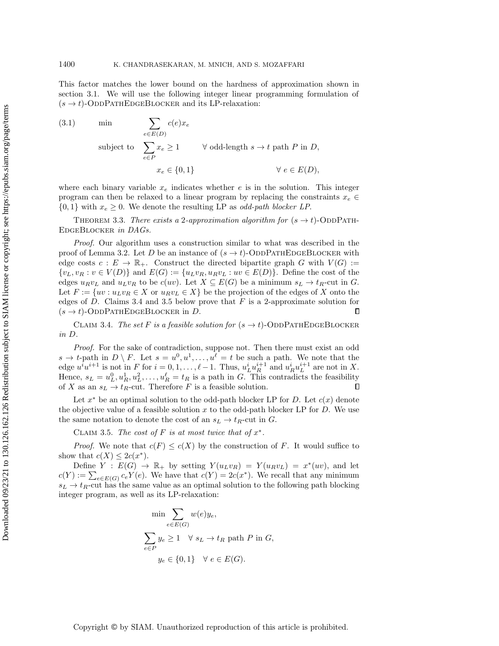This factor matches the lower bound on the hardness of approximation shown in section [3.1.](#page-14-3) We will use the following integer linear programming formulation of  $(s \rightarrow t)$ -ODDPATHEDGEBLOCKER and its LP-relaxation:

(3.1) min  
\n
$$
\sum_{e \in E(D)} c(e)x_e
$$
\nsubject to 
$$
\sum_{e \in P} x_e \ge 1 \qquad \forall \text{ odd-length } s \to t \text{ path } P \text{ in } D,
$$
\n
$$
x_e \in \{0, 1\} \qquad \forall e \in E(D),
$$

<span id="page-15-0"></span>where each binary variable  $x_e$  indicates whether e is in the solution. This integer program can then be relaxed to a linear program by replacing the constraints  $x_e \in$  $\{ 0, 1\}$  with  $x_e \geq 0$ . We denote the resulting LP as *odd-path blocker LP*.

THEOREM 3.3. There exists a 2-approximation algorithm for  $(s \rightarrow t)$ -ODDPATH-EDGEBLOCKER in DAGs.

Proof. Our algorithm uses a construction similar to what was described in the proof of Lemma [3.2.](#page-14-0) Let D be an instance of  $(s \rightarrow t)$ -ODDPATHEDGEBLOCKER with edge costs  $c : E \rightarrow \Bbb{R}_+$ . Construct the directed bipartite graph G with  $V (G) :=$  $\{ v_L, v_R : v \in V(D)\}$  and  $E(G) := \{ u_Lv_R, u_Rv_L : uv \in E(D)\}.$  Define the cost of the edges  $u_Rv_L$  and  $u_Lv_R$  to be  $c(uv)$ . Let  $X \subseteq E(G)$  be a minimum  $s_L \rightarrow t_R$ -cut in G. Let  $F := \{ uv : u_Lv_R \in X \text{ or } u_Rv_L \in X\}$  be the projection of the edges of X onto the edges of D. Claims [3.4](#page-15-1) and [3.5](#page-15-2) below prove that  $F$  is a 2-approximate solution for  $(s \rightarrow t)$ -ODDPATHEDGEBLOCKER in D.  $\Box$ 

<span id="page-15-1"></span>CLAIM 3.4. The set F is a feasible solution for  $(s \rightarrow t)$ -ODDPATHEDGEBLOCKER in D.

Proof. For the sake of contradiction, suppose not. Then there must exist an odd  $s \rightarrow t$ -path in  $D \setminus F$ . Let  $s = u^0, u^1, \ldots, u^\ell = t$  be such a path. We note that the edge  $u^i u^{i+1}$  is not in F for  $i = 0, 1, \ldots, \ell - 1$ . Thus,  $u^i_L u^{i+1}_R$  and  $u^i_R u^{i+1}_L$  are not in X. Hence,  $s_L = u_L^0, u_R^1, u_L^2, \dots, u_R^\ell = t_R$  is a path in G. This contradicts the feasibility of X as an  $s_L \rightarrow t_R$ -cut. Therefore F is a feasible solution.

Let  $x^*$  be an optimal solution to the odd-path blocker LP for D. Let  $c(x)$  denote the objective value of a feasible solution  $x$  to the odd-path blocker LP for  $D$ . We use the same notation to denote the cost of an  $s_L \rightarrow t_R$ -cut in G.

CLAIM 3.5. The cost of F is at most twice that of  $x^*$ .

*Proof.* We note that  $c(F) \leq c(X)$  by the construction of F. It would suffice to show that  $c(X) \leq 2c(x^*)$ .

Define  $Y : E(G) \rightarrow \mathbb{R}_+$  by setting  $Y (u_L v_R) = Y (u_R v_L) = x^*(uv)$ , and let  $c(Y) := \sum_{e \in E(G)} c_e Y(e)$ . We have that  $c(Y) = 2c(x^*)$ . We recall that any minimum  $s_L \rightarrow t_R$ -cut has the same value as an optimal solution to the following path blocking integer program, as well as its LP-relaxation:

<span id="page-15-2"></span>
$$
\min \sum_{e \in E(G)} w(e) y_e,
$$
  

$$
\sum_{e \in P} y_e \ge 1 \quad \forall \ s_L \to t_R \ \text{path } P \ \text{in } G,
$$
  

$$
y_e \in \{0, 1\} \quad \forall \ e \in E(G).
$$

Copyright © by SIAM. Unauthorized reproduction of this article is prohibited.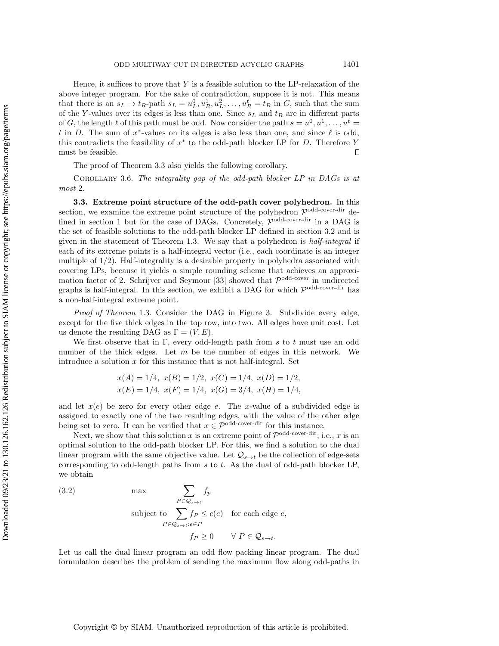Hence, it suffices to prove that  $Y$  is a feasible solution to the LP-relaxation of the above integer program. For the sake of contradiction, suppose it is not. This means that there is an  $s_L \rightarrow t_R$ -path  $s_L = u_L^0, u_R^1, u_L^2, \ldots, u_R^\ell = t_R$  in G, such that the sum of the Y-values over its edges is less than one. Since  $s<sub>L</sub>$  and  $t<sub>R</sub>$  are in different parts of G, the length  $\ell$  of this path must be odd. Now consider the path  $s = u^0, u^1, \ldots, u^{\ell} =$ t in D. The sum of  $x^*$ -values on its edges is also less than one, and since  $\ell$  is odd, this contradicts the feasibility of  $x^*$  to the odd-path blocker LP for D. Therefore Y must be feasible.  $\Box$ 

The proof of Theorem [3.3](#page-15-0) also yields the following corollary.

COROLLARY 3.6. The integrality gap of the odd-path blocker LP in DAGs is at most 2.

3.3. Extreme point structure of the odd-path cover polyhedron. In this section, we examine the extreme point structure of the polyhedron  $\mathcal{P}^{\text{odd-cover-dir}}$  de-fined in section [1](#page-0-1) but for the case of DAGs. Concretely,  $\mathcal{P}^{\text{odd-cover-dir}}$  in a DAG is the set of feasible solutions to the odd-path blocker LP defined in section [3.2](#page-14-4) and is given in the statement of Theorem [1.3.](#page-3-2) We say that a polyhedron is half-integral if each of its extreme points is a half-integral vector (i.e., each coordinate is an integer multiple of 1/2). Half-integrality is a desirable property in polyhedra associated with covering LPs, because it yields a simple rounding scheme that achieves an approxi-mation factor of 2. Schrijver and Seymour [\[33\]](#page-23-1) showed that  $\mathcal{P}^{\text{odd-cover}}$  in undirected graphs is half-integral. In this section, we exhibit a DAG for which  $\mathcal{P}^{\text{odd-cover-dir}}$  has a non-half-integral extreme point.

Proof of Theorem [1.3](#page-3-2). Consider the DAG in Figure [3.](#page-17-0) Subdivide every edge, except for the five thick edges in the top row, into two. All edges have unit cost. Let us denote the resulting DAG as  $\Gamma = (V, E)$ .

We first observe that in  $\Gamma$ , every odd-length path from s to t must use an odd number of the thick edges. Let  $m$  be the number of edges in this network. We introduce a solution  $x$  for this instance that is not half-integral. Set

$$
x(A) = 1/4
$$
,  $x(B) = 1/2$ ,  $x(C) = 1/4$ ,  $x(D) = 1/2$ ,  
\n $x(E) = 1/4$ ,  $x(F) = 1/4$ ,  $x(G) = 3/4$ ,  $x(H) = 1/4$ ,

and let  $x(e)$  be zero for every other edge e. The x-value of a subdivided edge is assigned to exactly one of the two resulting edges, with the value of the other edge being set to zero. It can be verified that  $x \in \mathcal{P}^{\text{odd-cover-dir}}$  for this instance.

Next, we show that this solution x is an extreme point of  $\mathcal{P}^{\text{odd-cover-dir}}$ ; i.e., x is an optimal solution to the odd-path blocker LP. For this, we find a solution to the dual linear program with the same objective value. Let  $\mathcal{Q}_{s\rightarrow t}$  be the collection of edge-sets corresponding to odd-length paths from  $s$  to  $t$ . As the dual of odd-path blocker LP, we obtain

(3.2) 
$$
\max \sum_{P \in \mathcal{Q}_{s \to t}} f_P
$$
  
subject to 
$$
\sum_{P \in \mathcal{Q}_{s \to t}: e \in P} f_P \le c(e) \text{ for each edge } e,
$$

$$
f_P \ge 0 \quad \forall P \in \mathcal{Q}_{s \to t}.
$$

Let us call the dual linear program an odd flow packing linear program. The dual formulation describes the problem of sending the maximum flow along odd-paths in

# Copyright © by SIAM. Unauthorized reproduction of this article is prohibited.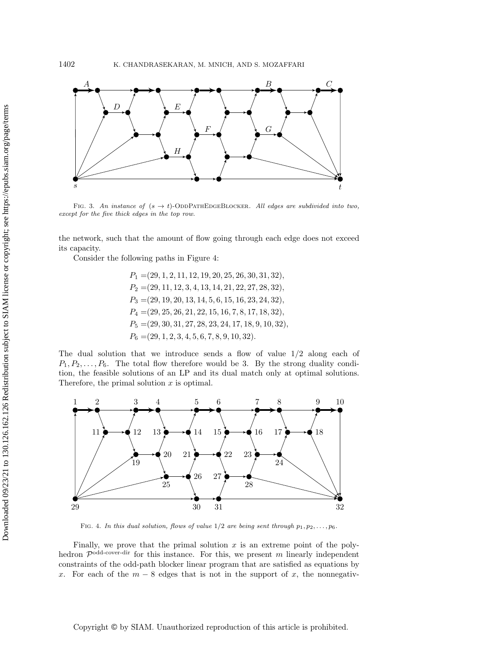<span id="page-17-0"></span>

FIG. 3. An instance of  $(s \rightarrow t)$ -ODDPATHEDGEBLOCKER. All edges are subdivided into two, except for the five thick edges in the top row.

the network, such that the amount of flow going through each edge does not exceed its capacity.

Consider the following paths in Figure [4:](#page-17-1)

 $P_1 = (29, 1, 2, 11, 12, 19, 20, 25, 26, 30, 31, 32),$  $P_2 = (29, 11, 12, 3, 4, 13, 14, 21, 22, 27, 28, 32),$  $P_3 = (29, 19, 20, 13, 14, 5, 6, 15, 16, 23, 24, 32),$  $P_4 = (29, 25, 26, 21, 22, 15, 16, 7, 8, 17, 18, 32),$  $P_5 = (29, 30, 31, 27, 28, 23, 24, 17, 18, 9, 10, 32)$  $P_6 = (29, 1, 2, 3, 4, 5, 6, 7, 8, 9, 10, 32).$ 

The dual solution that we introduce sends a flow of value  $1/2$  along each of  $P_1, P_2, \ldots, P_6$ . The total flow therefore would be 3. By the strong duality condition, the feasible solutions of an LP and its dual match only at optimal solutions. Therefore, the primal solution  $x$  is optimal.

<span id="page-17-1"></span>

FIG. 4. In this dual solution, flows of value  $1/2$  are being sent through  $p_1, p_2, \ldots, p_6$ .

Finally, we prove that the primal solution  $x$  is an extreme point of the polyhedron  $\mathcal{P}^{\text{odd-cover-dir}}$  for this instance. For this, we present m linearly independent constraints of the odd-path blocker linear program that are satisfied as equations by x. For each of the  $m-8$  edges that is not in the support of x, the nonnegativ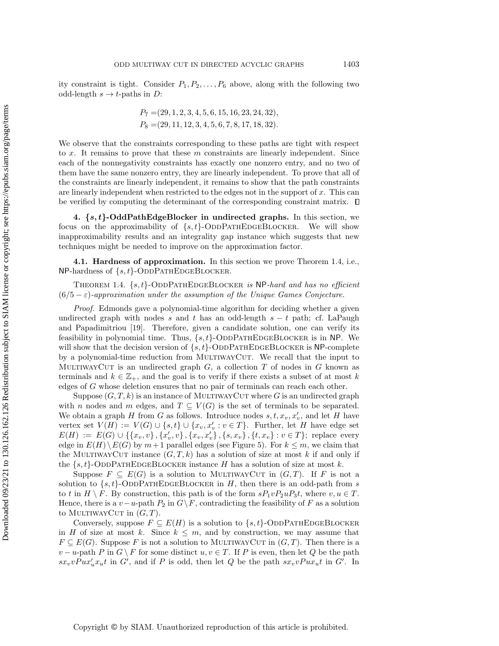ity constraint is tight. Consider  $P_1, P_2, \ldots, P_6$  above, along with the following two odd-length  $s \rightarrow t$ -paths in D:

$$
P_7 = (29, 1, 2, 3, 4, 5, 6, 15, 16, 23, 24, 32),
$$
  

$$
P_8 = (29, 11, 12, 3, 4, 5, 6, 7, 8, 17, 18, 32).
$$

We observe that the constraints corresponding to these paths are tight with respect to  $x$ . It remains to prove that these  $m$  constraints are linearly independent. Since each of the nonnegativity constraints has exactly one nonzero entry, and no two of them have the same nonzero entry, they are linearly independent. To prove that all of the constraints are linearly independent, it remains to show that the path constraints are linearly independent when restricted to the edges not in the support of  $x$ . This can be verified by computing the determinant of the corresponding constraint matrix.

<span id="page-18-0"></span>4.  $\{ s, t \}$ -OddPathEdgeBlocker in undirected graphs. In this section, we focus on the approximability of  $\{s, t\}$ -ODDPATHEDGEBLOCKER. We will show inapproximability results and an integrality gap instance which suggests that new techniques might be needed to improve on the approximation factor.

4.1. Hardness of approximation. In this section we prove Theorem [1.4,](#page-4-1) i.e.,  $\text{NP-hardness of } \{ s, t\}$ -ODDPATHEDGEBLOCKER.

THEOREM 1.4.  $\{ s, t \}$ -ODDPATHEDGEBLOCKER is NP-hard and has no efficient  $(6/5 - \varepsilon)$ -approximation under the assumption of the Unique Games Conjecture.

Proof. Edmonds gave a polynomial-time algorithm for deciding whether a given undirected graph with nodes s and t has an odd-length  $s - t$  path; cf. LaPaugh and Papadimitriou [\[19\]](#page-22-4). Therefore, given a candidate solution, one can verify its feasibility in polynomial time. Thus,  $\{ s, t \}$ -ODDPATHEDGEBLOCKER is in NP. We will show that the decision version of  $\{ s, t\}$ -ODDPATHEDGEBLOCKER is NP-complete by a polynomial-time reduction from MULTIWAYCUT. We recall that the input to MULTIWAYCUT is an undirected graph  $G$ , a collection T of nodes in G known as terminals and  $k \in \mathbb{Z}_+$ , and the goal is to verify if there exists a subset of at most k edges of G whose deletion ensures that no pair of terminals can reach each other.

Suppose  $(G, T, k)$  is an instance of MULTIWAYCUT where G is an undirected graph with n nodes and m edges, and  $T \subseteq V (G)$  is the set of terminals to be separated. We obtain a graph  $H$  from  $G$  as follows. Introduce nodes  $s, t, x_v, x_v'$ , and let  $H$  have vertex set  $V(H) := V(G) \cup \{ s, t \} \cup \{ x_v, x_v' : v \in T \}$ . Further, let H have edge set  $E(H) := E(G) \cup \{ \{ x_v, v\} , \{ x_v', v\} , \{ x_v, x_v'\} , \{ s, x_v\} , \{ t, x_v\} : v \in T\};$  replace every edge in  $E(H) \backslash E(G)$  by  $m+1$  parallel edges (see Figure [5\)](#page-19-0). For  $k \leq m$ , we claim that the MULTIWAYCUT instance  $(G, T, k)$  has a solution of size at most k if and only if the  $\{ s, t\}$ -ODDPATHEDGEBLOCKER instance H has a solution of size at most k.

Suppose  $F \subseteq E(G)$  is a solution to MULTIWAYCUT in  $(G, T)$ . If F is not a solution to  $\{s, t\}$ -ODDPATHEDGEBLOCKER in H, then there is an odd-path from s to t in  $H \setminus F$ . By construction, this path is of the form  $sP_1vP_2uP_3t$ , where  $v, u \in T$ . Hence, there is a  $v - u$ -path  $P_2$  in  $G \backslash F$ , contradicting the feasibility of F as a solution to MULTIWAYCUT in  $(G, T)$ .

Conversely, suppose  $F \subseteq E(H)$  is a solution to  $\{ s, t\}$ -ODDPATHEDGEBLOCKER in H of size at most k. Since  $k \leq m$ , and by construction, we may assume that  $F \subseteq E(G)$ . Suppose F is not a solution to MULTIWAYCUT in  $(G, T)$ . Then there is a  $v - u$ -path P in  $G \backslash F$  for some distinct  $u, v \in T$ . If P is even, then let Q be the path  $sx_vvPux'_ux_u t$  in G', and if P is odd, then let Q be the path  $sx_vvPux_u t$  in G'. In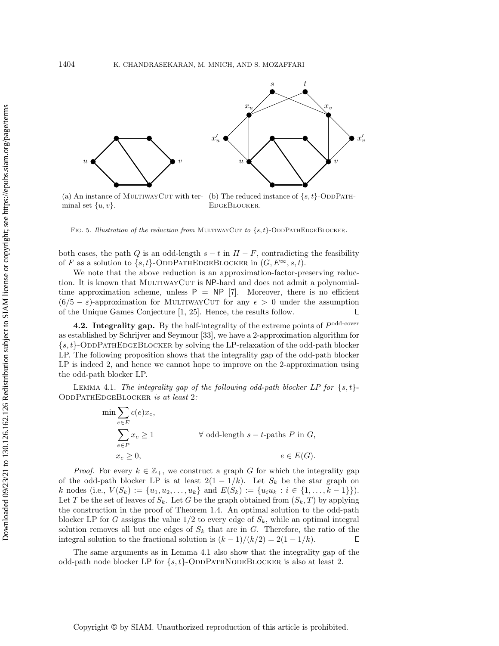<span id="page-19-0"></span>

(a) An instance of MULTIWAYCUT with ter- (b) The reduced instance of  $\{s, t\}$ -ODDPATHminal set  $\{ u, v\}$ . EdgeBlocker.

FIG. 5. Illustration of the reduction from MULTIWAYCUT to  $\{ s, t \}$ -ODDPATHEDGEBLOCKER.

both cases, the path Q is an odd-length  $s - t$  in  $H - F$ , contradicting the feasibility of F as a solution to  $\{ s, t\}$ -ODDPATHEDGEBLOCKER in  $(G, E^{\infty}, s, t)$ .

We note that the above reduction is an approximation-factor-preserving reduction. It is known that MULTIWAYCUT is  $\text{NP-hard}$  and does not admit a polynomialtime approximation scheme, unless  $\mathsf{P} = \mathsf{NP}$  [\[7\]](#page-22-20). Moreover, there is no efficient  $(6/5 - \varepsilon)$ -approximation for MULTIWAYCUT for any  $\epsilon > 0$  under the assumption of the Unique Games Conjecture [\[1,](#page-22-21) [25\]](#page-23-7). Hence, the results follow.  $\Box$ 

**4.2. Integrality gap.** By the half-integrality of the extreme points of  $P^{odd-cover}$ as established by Schrijver and Seymour [\[33\]](#page-23-1), we have a 2-approximation algorithm for  $\{s, t\}$ -ODDPATHEDGEBLOCKER by solving the LP-relaxation of the odd-path blocker LP. The following proposition shows that the integrality gap of the odd-path blocker LP is indeed 2, and hence we cannot hope to improve on the 2-approximation using the odd-path blocker LP.

LEMMA 4.1. The integrality gap of the following odd-path blocker LP for  $\{ s, t \}$ -ODDPATHEDGEBLOCKER is at least 2:

<span id="page-19-1"></span>
$$
\min \sum_{e \in E} c(e)x_e,
$$
\n
$$
\sum_{e \in P} x_e \ge 1 \qquad \forall \text{ odd-length } s - t\text{-paths } P \text{ in } G,
$$
\n
$$
x_e \ge 0, \qquad e \in E(G).
$$

*Proof.* For every  $k \in \mathbb{Z}_+$ , we construct a graph G for which the integrality gap of the odd-path blocker LP is at least  $2(1 - 1/k)$ . Let  $S_k$  be the star graph on k nodes (i.e.,  $V(S_k) := \{ u_1, u_2, \ldots, u_k\}$  and  $E(S_k) := \{ u_iu_k : i \in \{ 1, \ldots, k - 1\} \}$ ). Let T be the set of leaves of  $S_k$ . Let G be the graph obtained from  $(S_k, T)$  by applying the construction in the proof of Theorem [1.4.](#page-4-1) An optimal solution to the odd-path blocker LP for G assigns the value  $1/2$  to every edge of  $S_k$ , while an optimal integral solution removes all but one edges of  $S_k$  that are in G. Therefore, the ratio of the integral solution to the fractional solution is  $(k-1)/(k/2) = 2(1-1/k)$ .  $\Box$ 

The same arguments as in Lemma [4.1](#page-19-1) also show that the integrality gap of the odd-path node blocker LP for  $\{s, t\}$ -ODDPATHNODEBLOCKER is also at least 2.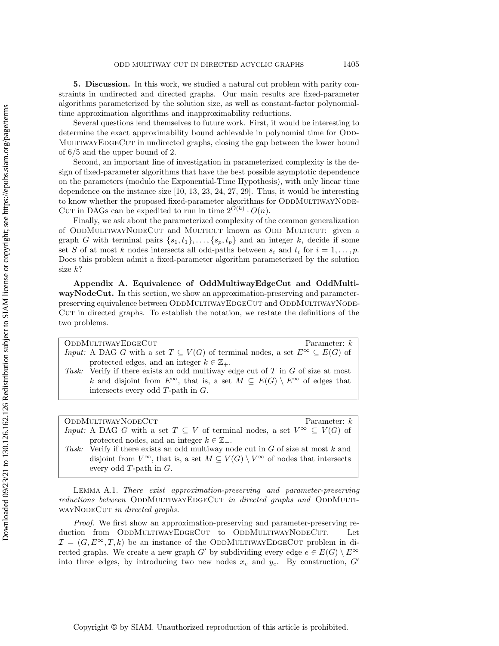<span id="page-20-1"></span>5. Discussion. In this work, we studied a natural cut problem with parity constraints in undirected and directed graphs. Our main results are fixed-parameter algorithms parameterized by the solution size, as well as constant-factor polynomialtime approximation algorithms and inapproximability reductions.

Several questions lend themselves to future work. First, it would be interesting to determine the exact approximability bound achievable in polynomial time for ODD-MULTIWAYEDGECUT in undirected graphs, closing the gap between the lower bound of 6/5 and the upper bound of 2.

Second, an important line of investigation in parameterized complexity is the design of fixed-parameter algorithms that have the best possible asymptotic dependence on the parameters (modulo the Exponential-Time Hypothesis), with only linear time dependence on the instance size [\[10,](#page-22-12) [13,](#page-22-22) [23,](#page-22-11) [24,](#page-22-23) [27,](#page-23-3) [29\]](#page-23-8). Thus, it would be interesting to know whether the proposed fixed-parameter algorithms for ODDMULTIWAYNODE-CUT in DAGs can be expedited to run in time  $2^{\tilde{O}(k)} \cdot O(n)$ .

Finally, we ask about the parameterized complexity of the common generalization of ODDMULTIWAYNODECUT and MULTICUT known as ODD MULTICUT: given a graph G with terminal pairs  $\{ s_1, t_1\} , \ldots, \{ s_p, t_p\}$  and an integer k, decide if some set S of at most k nodes intersects all odd-paths between  $s_i$  and  $t_i$  for  $i = 1, \ldots, p$ . Does this problem admit a fixed-parameter algorithm parameterized by the solution size k?

Appendix A. Equivalence of OddMultiwayEdgeCut and OddMultiwayNodeCut. In this section, we show an approximation-preserving and parameterpreserving equivalence between ODDMULTIWAYEDGECUT and ODDMULTIWAYNODE-CUT in directed graphs. To establish the notation, we restate the definitions of the two problems.

Parameter:  $k$ 

protected edges, and an integer  $k \in \mathbb{Z}_+$ . Task: Verify if there exists an odd multiway edge cut of  $T$  in  $G$  of size at most k and disjoint from  $E^\infty$ , that is, a set  $M \subseteq E(G) \setminus E^\infty$  of edges that intersects every odd T-path in G.

Input: A DAG G with a set  $T \subseteq V (G)$  of terminal nodes, a set  $E^\infty \subseteq E(G)$  of

 $ODDMULTIWAYNODECUT$  Parameter:  $k$ Input: A DAG G with a set  $T \subseteq V$  of terminal nodes, a set  $V^{\infty} \subseteq V (G)$  of protected nodes, and an integer  $k \in \mathbb{Z}_+$ .

Task: Verify if there exists an odd multiway node cut in G of size at most k and disjoint from  $V^{\infty}$ , that is, a set  $M \subseteq V (G) \setminus V^{\infty}$  of nodes that intersects every odd T-path in G.

<span id="page-20-0"></span>Lemma A.1. There exist approximation-preserving and parameter-preserving reductions between ODDMULTIWAYEDGECUT in directed graphs and ODDMULTI-WAYNODECUT in directed graphs.

Proof. We first show an approximation-preserving and parameter-preserving reduction from ODDMULTIWAYEDGECUT to ODDMULTIWAYNODECUT. Let  $\mathcal{I} = (G, E^{\infty}, T, k)$  be an instance of the ODDMULTIWAYEDGECUT problem in directed graphs. We create a new graph G' by subdividing every edge  $e \in E(G) \setminus E^\infty$ into three edges, by introducing two new nodes  $x_e$  and  $y_e$ . By construction, G'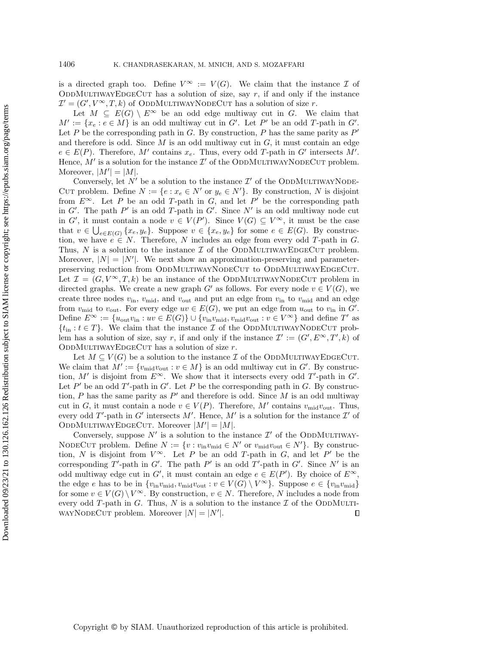is a directed graph too. Define  $V^{\infty} := V (G)$ . We claim that the instance  $\mathcal I$  of ODDMULTIWAYEDGECUT has a solution of size, say  $r$ , if and only if the instance  $\mathcal{I}' = (G', V^{\infty}, T, k)$  of ODDMULTIWAYNODECUT has a solution of size r.

Let  $M \subseteq E(G) \setminus E^\infty$  be an odd edge multiway cut in G. We claim that  $M' := \{ x_e : e \in M \}$  is an odd multiway cut in G'. Let P' be an odd T-path in G'. Let P be the corresponding path in G. By construction, P has the same parity as  $P'$ and therefore is odd. Since  $M$  is an odd multiway cut in  $G$ , it must contain an edge  $e \in E(P)$ . Therefore, M' contains  $x_e$ . Thus, every odd T-path in G' intersects M'. Hence,  $\dot{M}$  is a solution for the instance  $\mathcal{I}'$  of the ODDMULTIWAYNODECUT problem. Moreover,  $|M'| = |M|$ .

Conversely, let  $N'$  be a solution to the instance  $\mathcal{I}'$  of the ODDMULTIWAYNODE-CUT problem. Define  $N := \{ e : x_e \in N\}'$  or  $y_e \in N'\}$ . By construction, N is disjoint from  $E^\infty$ . Let P be an odd T-path in G, and let P' be the corresponding path in G'. The path  $P'$  is an odd T-path in G'. Since N' is an odd multiway node cut in G', it must contain a node  $v \in V (P')$ . Since  $V (G) \subseteq V^{\infty}$ , it must be the case that  $v \in \bigcup_{e \in E(G)} \{ x_e, y_e\}$ . Suppose  $v \in \{ x_e, y_e\}$  for some  $e \in E(G)$ . By construction, we have  $e \in N$ . Therefore, N includes an edge from every odd T-path in G. Thus,  $N$  is a solution to the instance  $\mathcal I$  of the ODDMULTIWAYEDGECUT problem. Moreover,  $|N| = |N'|$ . We next show an approximation-preserving and parameterpreserving reduction from ODDMULTIWAYNODECUT to ODDMULTIWAYEDGECUT. Let  $\mathcal{I} = (G, V^{\infty}, T, k)$  be an instance of the ODDMULTIWAYNODECUT problem in directed graphs. We create a new graph  $G'$  as follows. For every node  $v \in V (G)$ , we create three nodes  $v_{\text{in}}$ ,  $v_{\text{mid}}$ , and  $v_{\text{out}}$  and put an edge from  $v_{\text{in}}$  to  $v_{\text{mid}}$  and an edge from  $v_{\text{mid}}$  to  $v_{\text{out}}$ . For every edge  $uv \in E(G)$ , we put an edge from  $u_{\text{out}}$  to  $v_{\text{in}}$  in  $G'$ . Define  $E^\infty := \{ u_{\text{out}} v_{\text{in}} : uv \in E(G) \} \cup \{ v_{\text{in}} v_{\text{mid}}, v_{\text{mid}} v_{\text{out}} : v \in V^\infty \}$  and define T' as  $\{ t_{\rm in} : t \in T \}$ . We claim that the instance  $\mathcal I$  of the ODDMULTIWAYNODECUT problem has a solution of size, say r, if and only if the instance  $\mathcal{I}' := (G', E^\infty, T', k)$  of ODDMULTIWAYEDGECUT has a solution of size  $r$ .

Let  $M \subseteq V (G)$  be a solution to the instance  $\mathcal I$  of the ODDMULTIWAYEDGECUT. We claim that  $M' := \{ v_{mid}v_{out} : v \in M \}$  is an odd multiway cut in G'. By construction, M' is disjoint from  $E^\infty$ . We show that it intersects every odd T'-path in G'. Let P' be an odd T'-path in  $G'$ . Let P be the corresponding path in G. By construction, P has the same parity as  $P'$  and therefore is odd. Since M is an odd multiway cut in G, it must contain a node  $v \in V (P)$ . Therefore, M' contains  $v_{\rm mid} v_{\rm out}$ . Thus, every odd T'-path in G' intersects M'. Hence, M' is a solution for the instance  $\mathcal{I}'$  of ODDMULTIWAYEDGECUT. Moreover  $|M'| = |M|$ .

Conversely, suppose  $N'$  is a solution to the instance  $\mathcal{I}'$  of the ODDMULTIWAY-NODECUT problem. Define  $N := \{ v : v_{\text{in}}v_{\text{mid}} \in N\}$  or  $v_{\text{mid}}v_{\text{out}} \in N'\}$ . By construction, N is disjoint from  $V^{\infty}$ . Let P be an odd T-path in G, and let P' be the corresponding T'-path in G'. The path P' is an odd T'-path in G'. Since N' is an odd multiway edge cut in G', it must contain an edge  $e \in E(P')$ . By choice of  $E^{\infty}$ , the edge e has to be in  $\{ v_{\text{in}} v_{\text{mid}}, v_{\text{mid}} v_{\text{out}} : v \in V (G) \setminus V^{\infty} \}$ . Suppose  $e \in \{ v_{\text{in}} v_{\text{mid}} \}$ for some  $v \in V (G) \setminus V^{\infty}$ . By construction,  $v \in N$ . Therefore, N includes a node from every odd T-path in G. Thus, N is a solution to the instance  $\mathcal I$  of the ODDMULTI-WAYNODECUT problem. Moreover  $|N| = |N'|$ .  $\Box$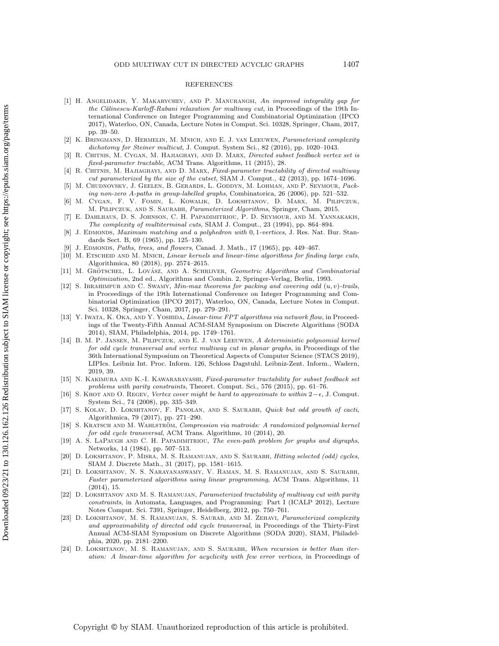#### REFERENCES

- <span id="page-22-21"></span>[1] H. Angelidakis, Y. Makarychev, and P. Manurangsi, An improved integrality gap for the Călinescu-Karloff-Rabani relaxation for multiway cut, in Proceedings of the 19th International Conference on Integer Programming and Combinatorial Optimization (IPCO 2017), Waterloo, ON, Canada, Lecture Notes in Comput. Sci. 10328, Springer, Cham, 2017, pp. 39-50.
- <span id="page-22-7"></span>[2] K. Bringmann, D. Hermelin, M. Mnich, and E. J. van Leeuwen, Parameterized complexity dichotomy for Steiner multicut, J. Comput. System Sci., 82 (2016), pp. 1020–1043.
- <span id="page-22-19"></span>[3] R. CHITNIS, M. CYGAN, M. HAJIAGHAYI, AND D. MARX, *Directed subset feedback vertex set is* fixed-parameter tractable, ACM Trans. Algorithms, 11 (2015), 28.
- <span id="page-22-8"></span>[4] R. CHITNIS, M. HAJIAGHAYI, AND D. MARX, Fixed-parameter tractability of directed multiway cut parameterized by the size of the cutset, SIAM J. Comput., 42 (2013), pp. 1674--1696.
- <span id="page-22-0"></span>[5] M. Chudnovsky, J. Geelen, B. Gerards, L. Goddyn, M. Lohman, and P. Seymour, Packing non-zero A-paths in group-labelled graphs, Combinatorica, 26 (2006), pp. 521-532.
- <span id="page-22-6"></span>[6] M. Cygan, F. V. Fomin, \L. Kowalik, D. Lokshtanov, D. Marx, M. Pilipczuk, M. Pilipczuk, and S. Saurabh, Parameterized Algorithms, Springer, Cham, 2015.
- <span id="page-22-20"></span>E. DAHLHAUS, D. S. JOHNSON, C. H. PAPADIMITRIOU, P. D. SEYMOUR, AND M. YANNAKAKIS, The complexity of multiterminal cuts, SIAM J. Comput., 23 (1994), pp. 864-894.
- <span id="page-22-2"></span>J. EDMONDS, Maximum matching and a polyhedron with 0, 1-vertices, J. Res. Nat. Bur. Standards Sect. B, 69 (1965), pp. 125-130.
- <span id="page-22-3"></span>J. EDMONDS, Paths, trees, and flowers, Canad. J. Math., 17 (1965), pp. 449-467.
- <span id="page-22-12"></span>[10] M. ETSCHEID AND M. MNICH, Linear kernels and linear-time algorithms for finding large cuts, Algorithmica, 80 (2018), pp. 2574-2615.
- <span id="page-22-5"></span>[11] M. GRÖTSCHEL, L. LOVÁSZ, AND A. SCHRIJVER, Geometric Algorithms and Combinatorial Optimization, 2nd ed., Algorithms and Combin. 2, Springer-Verlag, Berlin, 1993.
- <span id="page-22-1"></span>[12] S. IBRAHIMPUR AND C. SWAMY, Min-max theorems for packing and covering odd  $(u, v)$ -trails, in Proceedings of the 19th International Conference on Integer Programming and Combinatorial Optimization (IPCO 2017), Waterloo, ON, Canada, Lecture Notes in Comput. Sci. 10328, Springer, Cham, 2017, pp. 279-291.
- <span id="page-22-22"></span>[13] Y. Iwata, K. Oka, and Y. Yoshida, Linear-time FPT algorithms via network flow, in Proceedings of the Twenty-Fifth Annual ACM-SIAM Symposium on Discrete Algorithms (SODA 2014), SIAM, Philadelphia, 2014, pp. 1749-1761.
- <span id="page-22-13"></span>[14] B. M. P. Jansen, M. Pilipczuk, and E. J. van Leeuwen, A deterministic polynomial kernel for odd cycle transversal and vertex multiway cut in planar graphs, in Proceedings of the 36th International Symposium on Theoretical Aspects of Computer Science (STACS 2019), LIPIcs. Leibniz Int. Proc. Inform. 126, Schloss Dagstuhl. Leibniz-Zent. Inform., Wadern, 2019, 39.
- <span id="page-22-14"></span>[15] N. KAKIMURA AND K.-I. KAWARABAYASHI, Fixed-parameter tractability for subset feedback set problems with parity constraints, Theoret. Comput. Sci., 576 (2015), pp. 61-76.
- <span id="page-22-16"></span>[16] S. KHOT AND O. REGEV, Vertex cover might be hard to approximate to within  $2 - \epsilon$ , J. Comput. System Sci., 74 (2008), pp. 335-349.
- <span id="page-22-15"></span>[17] S. Kolay, D. Lokshtanov, F. Panolan, and S. Saurabh, Quick but odd growth of cacti, Algorithmica, 79 (2017), pp. 271-290.
- <span id="page-22-9"></span>[18] S. KRATSCH AND M. WAHLSTRÖM, Compression via matroids: A randomized polynomial kernel for odd cycle transversal, ACM Trans. Algorithms, 10 (2014), 20.
- <span id="page-22-4"></span>[19] A. S. LaPaugh and C. H. Papadimitriou, The even-path problem for graphs and digraphs, Networks, 14 (1984), pp. 507-513.
- <span id="page-22-17"></span>[20] D. LOKSHTANOV, P. MISRA, M. S. RAMANUJAN, AND S. SAURABH, *Hitting selected (odd) cycles*, SIAM J. Discrete Math., 31 (2017), pp. 1581–1615.
- <span id="page-22-18"></span>[21] D. Lokshtanov, N. S. Narayanaswamy, V. Raman, M. S. Ramanujan, and S. Saurabh, Faster parameterized algorithms using linear programming, ACM Trans. Algorithms, 11 (2014), 15.
- <span id="page-22-10"></span>[22] D. LOKSHTANOV AND M. S. RAMANUJAN, Parameterized tractability of multiway cut with parity constraints, in Automata, Languages, and Programming: Part I (ICALP 2012), Lecture Notes Comput. Sci. 7391, Springer, Heidelberg, 2012, pp. 750-761.
- <span id="page-22-11"></span>[23] D. LOKSHTANOV, M. S. RAMANUJAN, S. SAURAB, AND M. ZEHAVI, *Parameterized complexity* and approximability of directed odd cycle transversal, in Proceedings of the Thirty-First Annual ACM-SIAM Symposium on Discrete Algorithms (SODA 2020), SIAM, Philadelphia, 2020, pp. 2181-2200.
- <span id="page-22-23"></span>[24] D. LOKSHTANOV, M. S. RAMANUJAN, AND S. SAURABH, When recursion is better than iteration: A linear-time algorithm for acyclicity with few error vertices, in Proceedings of